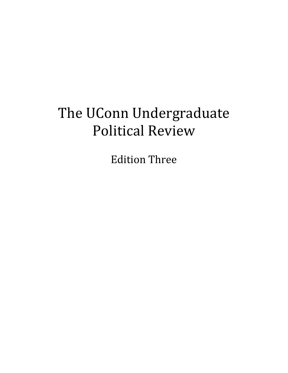# The UConn Undergraduate **Political Review**

**Edition Three**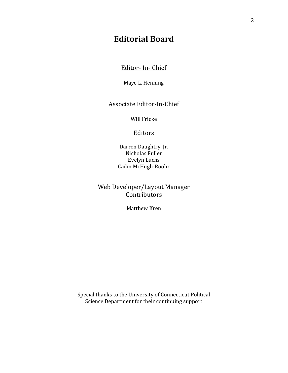# **Editorial Board**

 Editor- In- Chief

Maye L. Henning

### Associate Editor-In-Chief

Will Fricke

### **Editors**

 Darren Daughtry, Jr. Nicholas Fuller Evelyn Luchs Cailin McHugh-Roohr

### Web Developer/Layout Manager **Contributors**

Matthew Kren

 Science Department for their continuing supportSpecial thanks to the University of Connecticut Political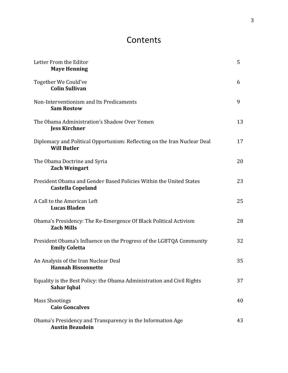# **Contents**

| Letter From the Editor<br><b>Maye Henning</b>                                                  | 5  |
|------------------------------------------------------------------------------------------------|----|
| Together We Could've<br><b>Colin Sullivan</b>                                                  | 6  |
| Non-Interventionism and Its Predicaments<br><b>Sam Rostow</b>                                  | 9  |
| The Obama Administration's Shadow Over Yemen<br><b>Jess Kirchner</b>                           | 13 |
| Diplomacy and Political Opportunism: Reflecting on the Iran Nuclear Deal<br><b>Will Butler</b> | 17 |
| The Obama Doctrine and Syria<br><b>Zach Weingart</b>                                           | 20 |
| President Obama and Gender Based Policies Within the United States<br><b>Castella Copeland</b> | 23 |
| A Call to the American Left<br><b>Lucas Bladen</b>                                             | 25 |
| Obama's Presidency: The Re-Emergence Of Black Political Activism<br><b>Zach Mills</b>          | 28 |
| President Obama's Influence on the Progress of the LGBTQA Community<br><b>Emily Coletta</b>    | 32 |
| An Analysis of the Iran Nuclear Deal<br><b>Hannah Bissonnette</b>                              | 35 |
| Equality is the Best Policy: the Obama Administration and Civil Rights<br>Sahar Iqbal          | 37 |
| <b>Mass Shootings</b><br><b>Caio Goncalves</b>                                                 | 40 |
| Obama's Presidency and Transparency in the Information Age<br><b>Austin Beaudoin</b>           | 43 |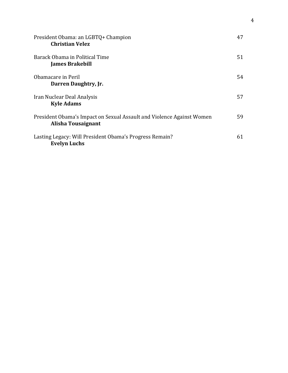| President Obama: an LGBTQ+ Champion<br><b>Christian Velez</b>                               | 47 |
|---------------------------------------------------------------------------------------------|----|
| Barack Obama in Political Time<br><b>James Brakebill</b>                                    | 51 |
| Obamacare in Peril<br>Darren Daughtry, Jr.                                                  | 54 |
| Iran Nuclear Deal Analysis<br><b>Kyle Adams</b>                                             | 57 |
| President Obama's Impact on Sexual Assault and Violence Against Women<br>Alisha Tousaignant | 59 |
| Lasting Legacy: Will President Obama's Progress Remain?<br><b>Evelyn Luchs</b>              | 61 |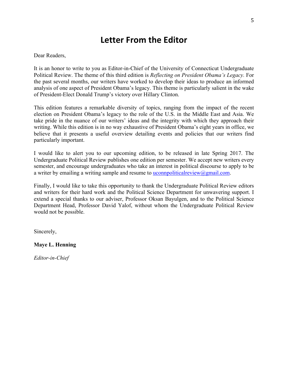# **Letter From the Editor**

### Dear Readers,

 It is an honor to write to you as Editor-in-Chief of the University of Connecticut Undergraduate Political Review. The theme of this third edition is *Reflecting on President Obama's Legacy.* For the past several months, our writers have worked to develop their ideas to produce an informed analysis of one aspect of President Obama's legacy. This theme is particularly salient in the wake of President-Elect Donald Trump's victory over Hillary Clinton.

 This edition features a remarkable diversity of topics, ranging from the impact of the recent election on President Obama's legacy to the role of the U.S. in the Middle East and Asia. We take pride in the nuance of our writers' ideas and the integrity with which they approach their writing. While this edition is in no way exhaustive of President Obama's eight years in office, we believe that it presents a useful overview detailing events and policies that our writers find particularly important.

 I would like to alert you to our upcoming edition, to be released in late Spring 2017. The Undergraduate Political Review publishes one edition per semester. We accept new writers every semester, and encourage undergraduates who take an interest in political discourse to apply to be a writer by emailing a writing sample and resume to uconnpolitical review  $\omega$  gmail.com.

 Finally, I would like to take this opportunity to thank the Undergraduate Political Review editors and writers for their hard work and the Political Science Department for unwavering support. I extend a special thanks to our adviser, Professor Oksan Bayulgen, and to the Political Science Department Head, Professor David Yalof, without whom the Undergraduate Political Review would not be possible.

Sincerely,

**Maye L. Henning** 

*Editor-in-Chief*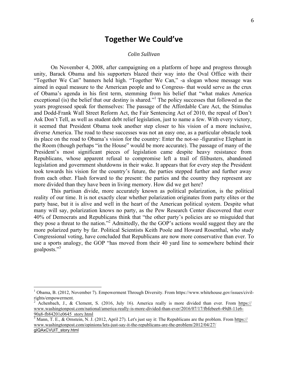### **Together We Could've**

### *Colin Sullivan*

 On November 4, 2008, after campaigning on a platform of hope and progress through unity, Barack Obama and his supporters blazed their way into the Oval Office with their "Together We Can" banners held high. "Together We Can," -a slogan whose message was aimed in equal measure to the American people and to Congress- that would serve as the crux of Obama's agenda in his first term, stemming from his belief that "what makes America exceptional (is) the belief that our destiny is shared."<sup>1</sup> The policy successes that followed as the years progressed speak for themselves: The passage of the Affordable Care Act, the Stimulus and Dodd-Frank Wall Street Reform Act, the Fair Sentencing Act of 2010, the repeal of Don't Ask Don't Tell, as well as student debt relief legislation, just to name a few. With every victory, it seemed that President Obama took another step closer to his vision of a more inclusive, diverse America. The road to these successes was not an easy one, as a particular obstacle took its place on the road to Obama's vision for the country: Enter the not-so -figurative Elephant in the Room (though perhaps "in the House" would be more accurate). The passage of many of the President's most significant pieces of legislation came despite heavy resistance from Republicans, whose apparent refusal to compromise left a trail of filibusters, abandoned legislation and government shutdowns in their wake. It appears that for every step the President took towards his vision for the country's future, the parties stepped further and further away from each other. Flash forward to the present: the parties and the country they represent are more divided than they have been in living memory. How did we get here?

 This partisan divide, more accurately known as political polarization, is the political reality of our time. It is not exactly clear whether polarization originates from party elites or the party base, but it is alive and well in the heart of the American political system. Despite what many will say, polarization knows no party, as the Pew Research Center discovered that over 40% of Democrats and Republicans think that "the other party's policies are so misguided that they pose a threat to the nation."2 Admittedly, the the GOP's actions would suggest they are the more polarized party by far. Political Scientists Keith Poole and Howard Rosenthal, who study Congressional voting, have concluded that Republicans are now more conservative than ever. To use a sports analogy, the GOP "has moved from their 40 yard line to somewhere behind their goalposts."<sup>3</sup>

 $1$  Obama, B. (2012, November 7). Empowerment Through Diversity. From https://www.whitehouse.gov/issues/civilrights/empowerment.

<sup>&</sup>lt;sup>2</sup> Achenbach, J., & Clement, S. (2016, July 16). America really is more divided than ever. From https:// 90a8-fb84201e0645\_story.html<br><sup>3</sup> Mann, T. E., & Ornstein, N. J. (2012, April 27). Let's just say it: The Republicans are the problem. From <u>https://</u> www.washingtonpost.com/national/america-really-is-more-divided-than-ever/2016/07/17/fbfebee6-49d8-11e6-

www.washingtonpost.com/opinions/lets-just-say-it-the-republicans-are-the-problem/2012/04/27/ gIQAxCVUlT\_story.html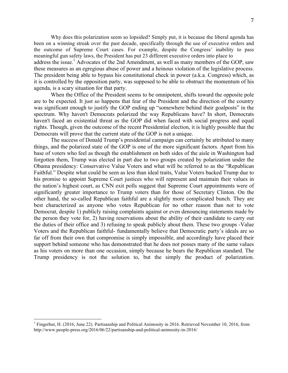Why does this polarization seem so lopsided? Simply put, it is because the liberal agenda has been on a winning streak over the past decade, specifically through the use of executive orders and the outcome of Supreme Court cases. For example, despite the Congress' inability to pass address the issue.<sup>1</sup> Advocates of the 2nd Amendment, as well as many members of the GOP, saw these measures as an egregious abuse of power and a heinous violation of the legislative process. The president being able to bypass his constitutional check in power (a.k.a. Congress) which, as it is controlled by the opposition party, was supposed to be able to obstruct the momentum of his meaningful gun safety laws, the President has put 23 different executive orders into place to agenda, is a scary situation for that party.

 When the Office of the President seems to be omnipotent, shifts toward the opposite pole are to be expected. It just so happens that fear of the President and the direction of the country was significant enough to justify the GOP ending up "somewhere behind their goalposts" in the spectrum. Why haven't Democrats polarized the way Republicans have? In short, Democrats haven't faced an existential threat as the GOP did when faced with social progress and equal rights. Though, given the outcome of the recent Presidential election, it is highly possible that the Democrats will prove that the current state of the GOP is not a unique.

 The success of Donald Trump's presidential campaign can certainly be attributed to many things, and the polarized state of the GOP is one of the more significant factors. Apart from his base of voters who feel as though the establishment on both sides of the aisle in Washington had forgotten them, Trump was elected in part due to two groups created by polarization under the Obama presidency: Conservative Value Voters and what will be referred to as the "Republican Faithful." Despite what could be seen as less than ideal traits, Value Voters backed Trump due to his promise to appoint Supreme Court justices who will represent and maintain their values in the nation's highest court, as CNN exit polls suggest that Supreme Court appointments were of significantly greater importance to Trump voters than for those of Secretary Clinton. On the other hand, the so-called Republican faithful are a slightly more complicated bunch. They are best characterized as anyone who votes Republican for no other reason than not to vote Democrat, despite 1) publicly raising complaints against or even denouncing statements made by the person they vote for, 2) having reservations about the ability of their candidate to carry out the duties of their office and 3) refusing to speak publicly about them. These two groups -Value Voters and the Republican faithful- fundamentally believe that Democratic party's ideals are so far off from their own that compromise is simply impossible, and accordingly have placed their support behind someone who has demonstrated that he does not posses many of the same values as his voters on more than one occasion, simply because he bears the Republican standard. The Trump presidency is not the solution to, but the simply the product of polarization.

<sup>&</sup>lt;sup>1</sup> Fingerhut, H. (2016, June 22). Partisanship and Political Animosity in 2016. Retrieved November 10, 2016, from http://www.people-press.org/2016/06/22/partisanship-and-political-animosity-in-2016/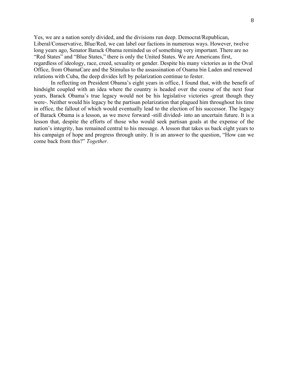Yes, we are a nation sorely divided, and the divisions run deep. Democrat/Republican, Liberal/Conservative, Blue/Red, we can label our factions in numerous ways. However, twelve long years ago, Senator Barack Obama reminded us of something very important. There are no "Red States" and "Blue States," there is only the United States. We are Americans first, regardless of ideology, race, creed, sexuality or gender. Despite his many victories as in the Oval Office, from ObamaCare and the Stimulus to the assassination of Osama bin Laden and renewed relations with Cuba, the deep divides left by polarization continue to fester.

 In reflecting on President Obama's eight years in office, I found that, with the benefit of hindsight coupled with an idea where the country is headed over the course of the next four years, Barack Obama's true legacy would not be his legislative victories -great though they were-. Neither would his legacy be the partisan polarization that plagued him throughout his time in office, the fallout of which would eventually lead to the election of his successor. The legacy of Barack Obama is a lesson, as we move forward -still divided- into an uncertain future. It is a lesson that, despite the efforts of those who would seek partisan goals at the expense of the nation's integrity, has remained central to his message. A lesson that takes us back eight years to his campaign of hope and progress through unity. It is an answer to the question, "How can we come back from this?" *Together.*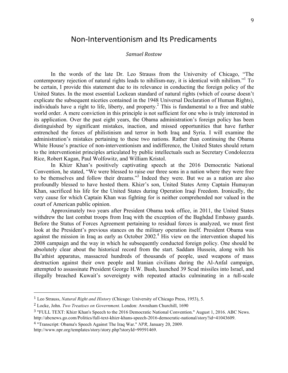# Non-Interventionism and Its Predicaments

### *Samuel Rostow*

 In the words of the late Dr. Leo Strauss from the University of Chicago, "The contemporary rejection of natural rights leads to nihilism-nay, it is identical with nihilism."<sup>1</sup> To be certain, I provide this statement due to its relevance in conducting the foreign policy of the United States. In the most essential Lockean standard of natural rights (which of course doesn't explicate the subsequent niceties contained in the 1948 Universal Declaration of Human Rights), individuals have a right to life, liberty, and property.<sup>2</sup> This is fundamental to a free and stable world order. A mere conviction in this principle is not sufficient for one who is truly interested in its application. Over the past eight years, the Obama administration's foreign policy has been distinguished by significant mistakes, inaction, and missed opportunities that have further entrenched the forces of philistinism and terror in both Iraq and Syria. I will examine the administration's mistakes pertaining to these two nations. Rather than continuing the Obama White House's practice of non-interventionism and indifference, the United States should return to the interventionist principles articulated by public intellectuals such as Secretary Condoleezza Rice, Robert Kagan, Paul Wolfowitz, and William Kristol.

 In Khizr Khan's positively captivating speech at the 2016 Democratic National Convention, he stated, "We were blessed to raise our three sons in a nation where they were free to be themselves and follow their dreams."<sup>3</sup> Indeed they were. But we as a nation are also Khan, sacrificed his life for the United States during Operation Iraqi Freedom. Ironically, the profoundly blessed to have hosted them. Khizr's son, United States Army Captain Humayun very cause for which Captain Khan was fighting for is neither comprehended nor valued in the court of American public opinion.

 Approximately two years after President Obama took office, in 2011, the United States withdrew the last combat troops from Iraq with the exception of the Baghdad Embassy guards. Before the Status of Forces Agreement pertaining to residual forces is analyzed, we must first look at the President's previous stances on the military operation itself. President Obama was against the mission in Iraq as early as October  $2002<sup>4</sup>$  His view on the intervention shaped his 2008 campaign and the way in which he subsequently conducted foreign policy. One should be absolutely clear about the historical record from the start. Saddam Hussein, along with his Ba'athist apparatus, massacred hundreds of thousands of people, used weapons of mass destruction against their own people and Iranian civilians during the Al-Anfal campaign, attempted to assassinate President George H.W. Bush, launched 39 Scud missiles into Israel, and illegally breached Kuwait's sovereignty with repeated attacks culminating in a full-scale

 <sup>1</sup> Leo Strauss, *Natural Right and History* (Chicago: University of Chicago Press, 1953), 5.

 <sup>2</sup> Locke, John. *Two Treatises on Government*. London: Awnsham Churchill, 1690

<sup>&</sup>lt;sup>3</sup> "FULL TEXT: Khizr Khan's Speech to the 2016 Democratic National Convention." August 1, 2016. ABC News. http://abcnews.go.com/Politics/full-text-khizr-khans-speech-2016-democratic-national/story?id=41043609.

 <sup>4</sup> "Transcript: Obama's Speech Against The Iraq War." *NPR*, January 20, 2009.

http://www.npr.org/templates/story/story.php?storyId=99591469.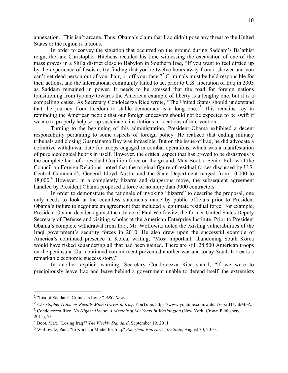annexation.<sup>1</sup> This isn't arcane. Thus, Obama's claim that Iraq didn't pose any threat to the United States or the region is fatuous.

 In order to convey the situation that occurred on the ground during Saddam's Ba'athist reign, the late Christopher Hitchens recalled his time witnessing the excavation of one of the mass graves in a Shi'a district close to Babylon in Southern Iraq, "If you want to feel dirtied up by the experience of fascism, try finding that you're twelve hours away from a shower and you can't get dead person out of your hair, or off your face."<sup>2</sup> Criminals must be held responsible for as Saddam remained in power. It needs to be stressed that the road for foreign nations transitioning from tyranny towards the American example of liberty is a lengthy one, but it is a compelling cause. As Secretary Condoleezza Rice wrote, "The United States should understand that the journey from freedom to stable democracy is a long one."3 This remains key in reminding the American people that our foreign endeavors should not be expected to be swift if their actions, and the international community failed to act prior to U.S. liberation of Iraq in 2003 we are to properly help set up sustainable institutions in locations of intervention.

 Turning to the beginning of this administration, President Obama exhibited a decent responsibility pertaining to some aspects of foreign policy. He realized that ending military tribunals and closing Guantanamo Bay was infeasible. But on the issue of Iraq, he did advocate a definitive withdrawal date for troops engaged in combat operations, which was a manifestation of pure ideological hubris in itself. However, the critical aspect that has proved to be disastrous is the complete lack of a residual Coalition force on the ground. Max Boot, a Senior Fellow at the Council on Foreign Relations, noted that the original figure of residual forces discussed by U.S. Central Command's General Lloyd Austin and the State Department ranged from 10,000 to 18,000.<sup>4</sup> However, in a completely bizarre and dangerous move, the subsequent agreement handled by President Obama proposed a force of no more than 3000 contractors.

 In order to demonstrate the rationale of invoking "bizarre" to describe the proposal, one only needs to look at the countless statements made by public officials prior to President Obama's failure to negotiate an agreement that included a legitimate residual force. For example, President Obama decided against the advice of Paul Wolfowitz, the former United States Deputy Secretary of Defense and visiting scholar at the American Enterprise Institute. Prior to President Obama's complete withdrawal from Iraq, Mr. Wolfowitz noted the existing vulnerabilities of the Iraqi government's security forces in 2010. He also drew upon the successful example of would have risked squandering all that had been gained. There are still 28,500 American troops on the peninsula. Our continued commitment prevented another war and today South Korea is a remarkable economic success story."<sup>5</sup> America's continued presence in Korea, writing, "Most important, abandoning South Korea

 In another explicit warning, Secretary Condoleezza Rice stated, "If we were to precipitously leave Iraq and leave behind a government unable to defend itself, the extremists

 <sup>1</sup> "List of Saddam's Crimes Is Long." *ABC News*.

 <sup>2</sup> *Christopher Hitchens Recalls Mass Graves in Iraq*. YouTube. https://www.youtube.com/watch?v=xitITUubMoA. <sup>3</sup> Condoleezza Rice, *No Higher Honor: A Memoir of My Years in Washington* (New York: Crown Publishers,

<sup>2011), 731.</sup>

 <sup>4</sup> Boot, Max. "Losing Iraq?" *The Weekly Standard*, September 19, 2011

 <sup>5</sup> Wolfowitz, Paul. "In Korea, a Model for Iraq." *American Enterprise Institute*, August 30, 2010.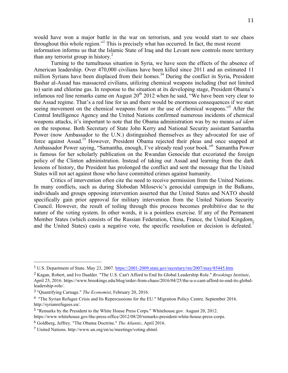would have won a major battle in the war on terrorism, and you would start to see chaos throughout this whole region."<sup>1</sup> This is precisely what has occurred. In fact, the most recent throughout this whole region."<sup>1</sup> This is precisely what has occurred. In fact, the most recent information informs us that the Islamic State of Iraq and the Levant now controls more territory than any terrorist group in history.<sup>2</sup>

 Turning to the tumultuous situation in Syria, we have seen the effects of the absence of American leadership. Over 470,000 civilians have been killed since 2011 and an estimated 11 million Syrians have been displaced from their homes.<sup>34</sup> During the conflict in Syria, President Bashar al-Assad has massacred civilians, utilizing chemical weapons including (but not limited to) sarin and chlorine gas. In response to the situation at its developing stage, President Obama's infamous red line remarks came on August  $20<sup>th</sup>$  2012 when he said, "We have been very clear to the Assad regime. That's a red line for us and there would be enormous consequences if we start seeing movement on the chemical weapons front or the use of chemical weapons."<sup>5</sup> After the Central Intelligence Agency and the United Nations confirmed numerous incidents of chemical weapons attacks, it's important to note that the Obama administration was by no means *ad idem*  on the response. Both Secretary of State John Kerry and National Security assistant Samantha Power (now Ambassador to the U.N.) distinguished themselves as they advocated for use of force against Assad.<sup>15</sup> However, President Obama rejected their pleas and once snapped at is famous for her scholarly publication on the Rwandan Genocide that excoriated the foreign policy of the Clinton administration. Instead of taking out Assad and learning from the dark lessons of history, the President has prolonged the conflict and sent the message that the United Ambassador Power saying, "Samantha, enough, I've already read your book."<sup>6</sup> Samantha Power States will not act against those who have committed crimes against humanity.

 Critics of intervention often cite the need to receive permission from the United Nations. In many conflicts, such as during Slobodan Milosevic's genocidal campaign in the Balkans, individuals and groups opposing intervention asserted that the United States and NATO should specifically gain prior approval for military intervention from the United Nations Security Council. However, the result of toiling through this process becomes prohibitive due to the nature of the voting system. In other words, it is a pointless exercise. If any of the Permanent Member States (which consists of the Russian Federation, China, France, the United Kingdom, and the United States) casts a negative vote, the specific resolution or decision is defeated.<sup>7</sup>

<sup>&</sup>lt;sup>1</sup> U.S. Department of State. May 23, 2007. https://2001-2009.state.gov/secretary/rm/2007/may/85445.htm

 <sup>2</sup> Kagan, Robert, and Ivo Daalder. "The U.S. Can't Afford to End Its Global Leadership Role." *Brookings Institute*, April 25, 2016. https://www.brookings.edu/blog/order-from-chaos/2016/04/25/the-u-s-cant-afford-to-end-its-globalleadership-role/.

<sup>3</sup> "Quantifying Carnage." *The Economist*, February 20, 2016.

<sup>4</sup> "The Syrian Refugee Crisis and Its Repercussions for the EU." Migration Policy Centre. September 2016. http://syrianrefugees.eu/.

<sup>&</sup>lt;sup>5</sup> "Remarks by the President to the White House Press Corps." Whitehouse.gov. August 20, 2012. https://www.whitehouse.gov/the-press-office/2012/08/20/remarks-president-white-house-press-corps.

 <sup>6</sup> Goldberg, Jeffrey. "The Obama Doctrine." *The Atlantic*, April 2016.

 <sup>7</sup> United Nations. http://www.un.org/en/sc/meetings/voting.shtml.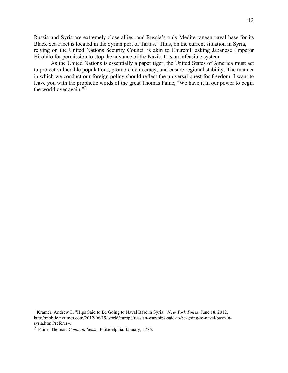<span id="page-11-0"></span> Russia and Syria are extremely close allies, and Russia's only Mediterranean naval base for its relying on the United Nations Security Council is akin to Churchill asking Japanese Emperor Black Sea Fleet is located in the Syrian port of Tartus.<sup>1</sup> Thus, on the current situation in Syria, Hirohito for permission to stop the advance of the Nazis. It is an infeasible system.

 As the United Nations is essentially a paper tiger, the United States of America must act to protect vulnerable populations, promote democracy, and ensure regional stability. The manner in which we conduct our foreign policy should reflect the universal quest for freedom. I want to leave you with the prophetic words of the great Thomas Paine, "We have it in our power to begin the world over again."<sup>2</sup>

 <sup>1</sup> Kramer, Andrew E. "Hips Said to Be Going to Naval Base in Syria." *New York Times*, June 18, 2012. http://mobile.nytimes.com/2012/06/19/world/europe/russian-warships-said-to-be-going-to-naval-base-insyria.html?referer=.

 <sup>2</sup> Paine, Thomas. *Common Sense*. Philadelphia. January, 1776.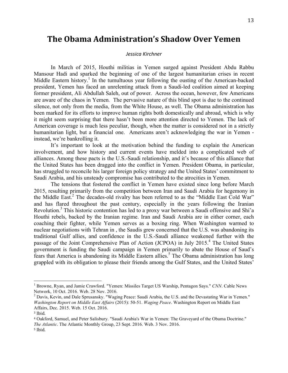# <span id="page-12-0"></span> **The Obama Administration's Shadow Over Yemen**

#### *Jessica Kirchner*

 In March of 2015, Houthi militias in Yemen surged against President Abdu Rabbu Mansour Hadi and sparked the beginning of one of the largest humanitarian crises in recent Middle Eastern history.<sup>1</sup> In the tumultuous year following the ousting of the American-backed president, Yemen has faced an unrelenting attack from a Saudi-led coalition aimed at keeping former president, Ali Abdullah Saleh, out of power. Across the ocean, however, few Americans are aware of the chaos in Yemen. The pervasive nature of this blind spot is due to the continued silence, not only from the media, from the White House, as well. The Obama administration has been marked for its efforts to improve human rights both domestically and abroad, which is why it might seem surprising that there hasn't been more attention directed to Yemen. The lack of American coverage is much less peculiar, though, when the matter is considered not in a strictly humanitarian light, but a financial one. Americans aren't acknowledging the war in Yemen instead, we're bankrolling it.

 It's important to look at the motivation behind the funding to explain the American involvement, and how history and current events have melded into a complicated web of alliances. Among these pacts is the U.S.-Saudi relationship, and it's because of this alliance that the United States has been dragged into the conflict in Yemen. President Obama, in particular, has struggled to reconcile his larger foreign policy strategy and the United States' commitment to Saudi Arabia, and his unsteady compromise has contributed to the atrocities in Yemen.

 2015, resulting primarily from the competition between Iran and Saudi Arabia for hegemony in the Middle East.<sup>2</sup> The decades-old rivalry has been referred to as the "Middle East Cold War" and has flared throughout the past century, especially in the years following the Iranian Revolution.<sup>3</sup> This historic contention has led to a proxy war between a Saudi offensive and Shi'a Houthi rebels, backed by the Iranian regime. Iran and Saudi Arabia are in either corner, each coaching their fighter, while Yemen serves as a boxing ring. When Washington warmed to nuclear negotiations with Tehran in , the Saudis grew concerned that the U.S. was abandoning its traditional Gulf allies, and confidence in the U.S.-Saudi alliance weakened further with the passage of the Joint Comprehensive Plan of Action (JCPOA) in July 2015.<sup>4</sup> The United States government is funding the Saudi campaign in Yemen primarily to abate the House of Saud's fears that America is abandoning its Middle Eastern allies.<sup>5</sup> The Obama administration has long grappled with its obligation to please their friends among the Gulf States, and the United States' The tensions that fostered the conflict in Yemen have existed since long before March

 1 Browne, Ryan, and Jamie Crawford. "Yemen: Missiles Target US Warship, Pentagon Says." *CNN*. Cable News Network, 10 Oct. 2016. Web. 28 Nov. 2016.

 $2^2$  Davis, Kevin, and Dale Sprusansky. "Waging Peace: Saudi Arabia, the U.S. and the Devastating War in Yemen."  *Washington Report on Middle East Affairs* (2015): 50-51. *Waging Peace*. Washington Report on Middle East Affairs, Dec. 2015. Web. 15 Oct. 2016.

 <sup>3</sup> Ibid.

 <sup>4</sup> Oakford, Samuel, and Peter Salisbury. "Saudi Arabia's War in Yemen: The Graveyard of the Obama Doctrine." *The Atlantic*. The Atlantic Monthly Group, 23 Sept. 2016. Web. 3 Nov. 2016.

 <sup>5</sup> Ibid.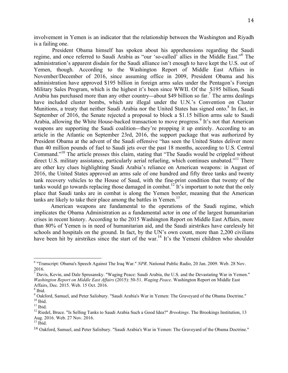involvement in Yemen is an indicator that the relationship between the Washington and Riyadh is a failing one.

 regime, and once referred to Saudi Arabia as "our 'so-called' allies in the Middle East."6 The administration's apparent disdain for the Saudi alliance isn't enough to have kept the U.S. out of Yemen, though. According to the Washington Report of Middle East Affairs in November/December of 2016, since assuming office in 2009, President Obama and his administration have approved \$195 billion in foreign arms sales under the Pentagon's Foreign Military Sales Program, which is the highest it's been since WWII. Of the \$195 billion, Saudi Arabia has purchased more than any other country—about \$49 billion so  $far<sup>7</sup>$ . The arms dealings have included cluster bombs, which are illegal under the U.N.'s Convention on Cluster Munitions, a treaty that neither Saudi Arabia nor the United States has signed onto.<sup>8</sup> In fact, in September of 2016, the Senate rejected a proposal to block a \$1.15 billion arms sale to Saudi Arabia, allowing the White House-backed transaction to move progress.<sup>9</sup> It's not that American weapons are supporting the Saudi coalition—they're propping it up entirely. According to an article in the Atlantic on September 23rd, 2016, the support package that was authorized by President Obama at the advent of the Saudi offensive "has seen the United States deliver more than 40 million pounds of fuel to Saudi jets over the past 18 months, according to U.S. Central Command."<sup>10</sup> The article presses this claim, stating that "The Saudis would be crippled without direct U.S. military assistance, particularly aerial refueling, which continues unabated."<sup>11</sup> There are other key clues highlighting Saudi Arabia's reliance on American weapons: in August of 2016, the United States approved an arms sale of one hundred and fifty three tanks and twenty tank recovery vehicles to the House of Saud, with the fine-print condition that twenty of the tanks would go towards replacing those damaged in combat.<sup>12</sup> It's important to note that the only place that Saudi tanks are in combat is along the Yemen border, meaning that the American President Obama himself has spoken about his apprehensions regarding the Saudi tanks are likely to take their place among the battles in Yemen.<sup>13</sup>

 American weapons are fundamental to the operations of the Saudi regime, which implicates the Obama Administration as a fundamental actor in one of the largest humanitarian crises in recent history. According to the 2015 Washington Report on Middle East Affairs, more than 80% of Yemen is in need of humanitarian aid, and the Saudi airstrikes have carelessly hit schools and hospitals on the ground. In fact, by the UN's own count, more than 2,200 civilians have been hit by airstrikes since the start of the war.<sup>14</sup> It's the Yemeni children who shoulder

 6 "Transcript: Obama's Speech Against The Iraq War." *NPR*. National Public Radio, 20 Jan. 2009. Web. 28 Nov. 2016.

 $^7$  Davis, Kevin, and Dale Sprusansky. "Waging Peace: Saudi Arabia, the U.S. and the Devastating War in Yemen."  *Washington Report on Middle East Affairs* (2015): 50-51. *Waging Peace*. Washington Report on Middle East Affairs, Dec. 2015. Web. 15 Oct. 2016.<br><sup>8</sup> Ibid.

 $8$  Ibid.

<sup>&</sup>lt;sup>9</sup> Oakford, Samuel, and Peter Salisbury. "Saudi Arabia's War in Yemen: The Graveyard of the Obama Doctrine."  $\frac{10}{11}$  Ibid. <sup>10</sup> Ibid.<br><sup>11</sup> Ibid.<br><sup>12</sup> Riedel, Bruce. "Is Selling Tanks to Saudi Arabia Such a Good Idea?" *Brookings*. The Brookings Institution, 13

 Aug. 2016. Web. 27 Nov. 2016.

 $^{13}$  Ibid.

<sup>&</sup>lt;sup>14</sup> Oakford, Samuel, and Peter Salisbury. "Saudi Arabia's War in Yemen: The Graveyard of the Obama Doctrine."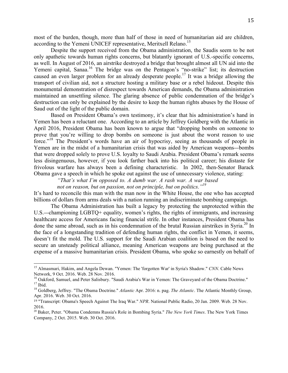most of the burden, though, more than half of those in need of humanitarian aid are children, according to the Yemeni UNICEF representative, Meritxell Relano.<sup>15</sup>

 Despite the support received from the Obama administration, the Saudis seem to be not only apathetic towards human rights concerns, but blatantly ignorant of U.S.-specific concerns, as well. In August of 2016, an airstrike destroyed a bridge that brought almost all UN aid into the Yemeni capital, Sanaa.<sup>16</sup> The bridge was on the Pentagon's "no-strike" list; its destruction caused an even larger problem for an already desperate people.<sup>17</sup> It was a bridge allowing the transport of civilian aid, not a structure hosting a military base or a rebel hideout. Despite this monumental demonstration of disrespect towards American demands, the Obama administration maintained an unsettling silence. The glaring absence of public condemnation of the bridge's destruction can only be explained by the desire to keep the human rights abuses by the House of Saud out of the light of the public domain.

 Based on President Obama's own testimony, it's clear that his administration's hand in Yemen has been a reluctant one. According to an article by Jeffrey Goldberg with the Atlantic in April 2016, President Obama has been known to argue that "dropping bombs on someone to prove that you're willing to drop bombs on someone is just about the worst reason to use force."<sup>18</sup> The President's words have an air of hypocrisy, seeing as thousands of people in Yemen are in the midst of a humanitarian crisis that was aided by American weapons—bombs that were dropped solely to prove U.S. loyalty to Saudi Arabia. President Obama's remark seems less disingenuous, however, if you look farther back into his political career; his distaste for frivolous warfare has always been a defining characteristic. In 2002, then-Senator Barack Obama gave a speech in which he spoke out against the use of unnecessary violence, stating:

 *"That's what I'm opposed to. A dumb war. A rash war. A war based* 

*not on reason, but on passion, not on principle, but on politics."19* 

 It's hard to reconcile this man with the man now in the White House, the one who has accepted billions of dollars from arms deals with a nation running an indiscriminate bombing campaign.

 The Obama Administration has built a legacy by protecting the unprotected within the U.S.—championing LGBTQ+ equality, women's rights, the rights of immigrants, and increasing healthcare access for Americans facing financial strife. In other instances, President Obama has done the same abroad, such as in his condemnation of the brutal Russian airstrikes in Syria.<sup>20</sup> In the face of a longstanding tradition of defending human rights, the conflict in Yemen, it seems, doesn't fit the mold. The U.S. support for the Saudi Arabian coalition is based on the need to secure an unsteady political alliance, meaning American weapons are being purchased at the expense of a massive humanitarian crisis. President Obama, who spoke so earnestly on behalf of

 Network, 9 Oct. 2016. Web. 28 Nov. 2016. 15 Almasmari, Hakim, and Angela Dewan. "Yemen: The 'forgotten War' in Syria's Shadow." *CNN*. Cable News

<sup>&</sup>lt;sup>16</sup> Oakford, Samuel, and Peter Salisbury. "Saudi Arabia's War in Yemen: The Graveyard of the Obama Doctrine."  $17$  Ibid. <sup>16</sup> Oakford, Samuel, and Peter Salisbury. "Saudi Arabia's War in Yemen: The Graveyard of the Obama Doctrine."<br><sup>17</sup> Ibid.<br><sup>18</sup> Goldberg, Jeffrey. "The Obama Doctrine." *Atlantic* Apr. 2016: n. pag. *The Atlantic*. The Atla

 Apr. 2016. Web. 30 Oct. 2016.

 <sup>19</sup> "Transcript: Obama's Speech Against The Iraq War." *NPR*. National Public Radio, 20 Jan. 2009. Web. 28 Nov. 2016.

<sup>&</sup>lt;sup>20</sup> Baker, Peter. "Obama Condemns Russia's Role in Bombing Syria." *The New York Times*. The New York Times Company, 2 Oct. 2015. Web. 30 Oct. 2016.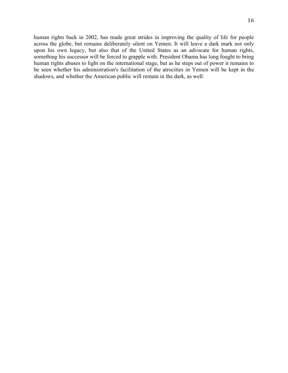human rights back in 2002, has made great strides in improving the quality of life for people across the globe, but remains deliberately silent on Yemen. It will leave a dark mark not only upon his own legacy, but also that of the United States as an advocate for human rights, something his successor will be forced to grapple with. President Obama has long fought to bring human rights abuses to light on the international stage, but as he steps out of power it remains to be seen whether his administration's facilitation of the atrocities in Yemen will be kept in the shadows, and whether the American public will remain in the dark, as well.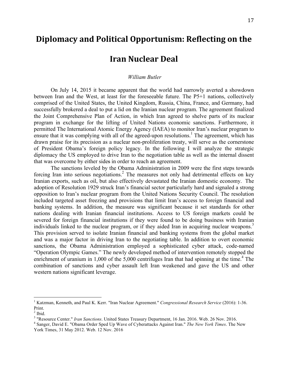# **Diplomacy and Political Opportunism: Reflecting on the**

## **Iran Nuclear Deal**

#### *William Butler*

 On July 14, 2015 it became apparent that the world had narrowly averted a showdown between Iran and the West, at least for the foreseeable future. The P5+1 nations, collectively comprised of the United States, the United Kingdom, Russia, China, France, and Germany, had successfully brokered a deal to put a lid on the Iranian nuclear program. The agreement finalized the Joint Comprehensive Plan of Action, in which Iran agreed to shelve parts of its nuclear program in exchange for the lifting of United Nations economic sanctions. Furthermore, it permitted The International Atomic Energy Agency (IAEA) to monitor Iran's nuclear program to ensure that it was complying with all of the agreed-upon resolutions.<sup>1</sup> The agreement, which has drawn praise for its precision as a nuclear non-proliferation treaty, will serve as the cornerstone of President Obama's foreign policy legacy. In the following I will analyze the strategic diplomacy the US employed to drive Iran to the negotiation table as well as the internal dissent that was overcome by either sides in order to reach an agreement.

 The sanctions leveled by the Obama Administration in 2009 were the first steps towards forcing Iran into serious negotiations.<sup>2</sup> The measures not only had detrimental effects on key Iranian exports, such as oil, but also effectively devastated the Iranian domestic economy. The adoption of Resolution 1929 struck Iran's financial sector particularly hard and signaled a strong opposition to Iran's nuclear program from the United Nations Security Council. The resolution included targeted asset freezing and provisions that limit Iran's access to foreign financial and banking systems. In addition, the measure was significant because it set standards for other nations dealing with Iranian financial institutions. Access to US foreign markets could be severed for foreign financial institutions if they were found to be doing business with Iranian This provision served to isolate Iranian financial and banking systems from the global market and was a major factor in driving Iran to the negotiating table. In addition to overt economic sanctions, the Obama Administration employed a sophisticated cyber attack, code-named "Operation Olympic Games." The newly developed method of intervention remotely stopped the enrichment of uranium in 1,000 of the  $5,000$  centrifuges Iran that had spinning at the time.<sup>4</sup> The combination of sanctions and cyber assault left Iran weakened and gave the US and other individuals linked to the nuclear program, or if they aided Iran in acquiring nuclear weapons.<sup>3</sup> western nations significant leverage.

 1 Katzman, Kenneth, and Paul K. Kerr. "Iran Nuclear Agreement." *Congressional Research Service* (2016): 1-36. Print.

 $<sup>2</sup>$  Ibid.</sup>

<sup>&</sup>lt;sup>3</sup> "Resource Center." *Iran Sanctions*. United States Treasury Department, 16 Jan. 2016. Web. 26 Nov. 2016.

<sup>&</sup>lt;sup>4</sup> Sanger, David E. "Obama Order Sped Up Wave of Cyberattacks Against Iran." The New York Times. The New York Times, 31 May 2012. Web. 12 Nov. 2016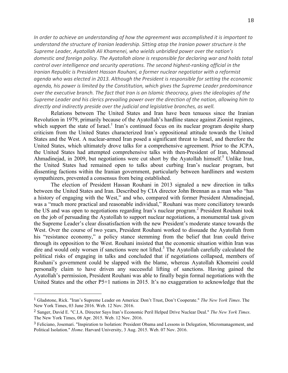In order to achieve an understanding of how the agreement was accomplished it is important to understand the structure of Iranian leadership. Sitting atop the Iranian power structure is the  *Supreme Leader, Ayatollah Ali Khamenei, who wields unbridled power over the nation's* domestic and foreign policy. The Ayatollah alone is responsible for declaring war and holds total  *control over intelligence and security operations. The second highest-ranking official in the Iranian Republic is President Hassan Rouhani, a former nuclear negotiator with a reformist*  agenda who was elected in 2013. Although the President is responsible for setting the economic agenda, his power is limited by the Constitution, which gives the Supreme Leader predominance over the executive branch. The fact that Iran is an Islamic theocracy, gives the ideologies of the Supreme Leader and his clerics prevailing power over the direction of the nation, allowing him to  *directly and indirectly preside over the judicial and legislative branches, as well.*

 Relations between The United States and Iran have been tenuous since the Iranian Revolution in 1979, primarily because of the Ayatollah's hardline stance against Zionist regimes, which support the state of Israel.<sup>1</sup> Iran's continued focus on its nuclear program despite sharp criticism from the United States characterized Iran's oppositional attitude towards the United States and the West. A nuclear-armed Iran posed a significant threat to Israel, and therefore the United States, which ultimately drove talks for a comprehensive agreement. Prior to the JCPA, the United States had attempted comprehensive talks with then-President of Iran, Mahmoud Ahmadinejad, in 2009, but negotiations were cut short by the Ayatollah himself.<sup>5</sup> Unlike Iran, the United States had remained open to talks about curbing Iran's nuclear program, but dissenting factions within the Iranian government, particularly between hardliners and western sympathizers, prevented a consensus from being established.

 The election of President Hassan Rouhani in 2013 signaled a new direction in talks between the United States and Iran. Described by CIA director John Brennan as a man who "has a history of engaging with the West," and who, compared with former President Ahmadinejad, was a "much more practical and reasonable individual," Rouhani was more conciliatory towards the US and was open to negotiations regarding Iran's nuclear program.<sup>2</sup> President Rouhani took on the job of persuading the Ayatollah to support nuclear negotiations, a monumental task given the Supreme Leader's clear dissatisfaction with the new President's moderate stance towards the West. Over the course of two years, President Rouhani worked to dissuade the Ayatollah from his "resistance economy," a policy stance stemming from the belief that Iran could thrive through its opposition to the West. Rouhani insisted that the economic situation within Iran was dire and would only worsen if sanctions were not lifted.<sup>3</sup> The Ayatollah carefully calculated the political risks of engaging in talks and concluded that if negotiations collapsed, members of Rouhani's government could be slapped with the blame, whereas Ayatollah Khomeini could personally claim to have driven any successful lifting of sanctions. Having gained the Ayatollah's permission, President Rouhani was able to finally begin formal negotiations with the United States and the other P5+1 nations in 2015. It's no exaggeration to acknowledge that the

 <sup>1</sup> Gladstone, Rick. "Iran's Supreme Leader on America: Don't Trust, Don't Cooperate." *The New York Times*. The New York Times, 03 June 2016. Web. 12 Nov. 2016.

 <sup>2</sup> Sanger, David E. "C.I.A. Director Says Iran's Economic Peril Helped Drive Nuclear Deal." *The New York Times*. The New York Times, 08 Apr. 2015. Web. 12 Nov. 2016.

<sup>&</sup>lt;sup>3</sup> Feliciano, Josemari. "Inspiration to Isolation: President Obama and Lessons in Delegation, Micromanagement, and Political Isolation." *Home*. Harvard University, 3 Aug. 2015. Web. 07 Nov. 2016.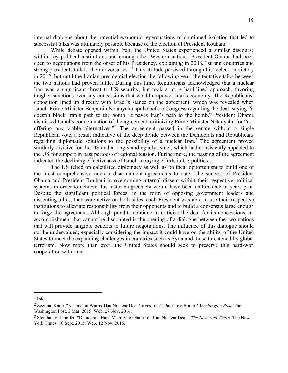internal dialogue about the potential economic repercussions of continued isolation that led to successful talks was ultimately possible because of the election of President Rouhani.

 While debate opened within Iran, the United States experienced a similar discourse within key political institutions and among other Western nations. President Obama had been open to negotiations from the onset of his Presidency, explaining in 2008, "strong countries and strong presidents talk to their adversaries."<sup>1</sup> This attitude persisted through his reelection victory in 2012, but until the Iranian presidential election the following year, the tentative talks between the two nations had proven futile. During this time, Republicans acknowledged that a nuclear Iran was a significant threat to US security, but took a more hard-lined approach, favoring tougher sanctions over any concessions that would empower Iran's economy. The Republicans' opposition lined up directly with Israel's stance on the agreement, which was revealed when Israeli Prime Minister Benjamin Netanyahu spoke before Congress regarding the deal, saying "it doesn't block Iran's path to the bomb. It paves Iran's path to the bomb." President Obama dismissed Israel's condemnation of the agreement, criticizing Prime Minister Netanyahu for "not offering any viable alternatives."<sup>2</sup> The agreement passed in the senate without a single Republican vote, a result indicative of the deep divide between the Democrats and Republicans regarding diplomatic solutions to the possibility of a nuclear Iran.<sup>3</sup> The agreement proved similarly divisive for the US and a long-standing ally Israel, which had consistently appealed to the US for support in past periods of regional tension. Furthermore, the passing of the agreement indicated the declining effectiveness of Israeli lobbying efforts in US politics.

 The US relied on calculated diplomacy as well as political opportunism to build one of the most comprehensive nuclear disarmament agreements to date. The success of President Obama and President Rouhani in overcoming internal dissent within their respective political systems in order to achieve this historic agreement would have been unthinkable in years past. Despite the significant political forces, in the form of opposing government leaders and dissenting allies, that were active on both sides, each President was able to use their respective institutions to alleviate responsibility from their opponents and to build a consensus large enough to forge the agreement. Although pundits continue to criticize the deal for its concessions, an accomplishment that cannot be discounted is the opening of a dialogue between the two nations that will provide tangible benefits to future negotiations. The influence of this dialogue should not be undervalued; especially considering the impact it could have on the ability of the United States to meet the expanding challenges in countries such as Syria and those threatened by global terrorism. Now more than ever, the United States should seek to preserve this hard-won cooperation with Iran.

<sup>1</sup> Ibid.

 <sup>2</sup> Zezima, Katie. "Netanyahu Warns That Nuclear Deal 'paves Iran's Path' to a Bomb." *Washington Post*. The Washington Post, 3 Mar. 2015. Web. 27 Nov. 2016.

 <sup>3</sup> Steinhauer, Jennifer. "Democrats Hand Victory to Obama on Iran Nuclear Deal." *The New York Times*. The New York Times, 10 Sept. 2015. Web. 12 Nov. 2016.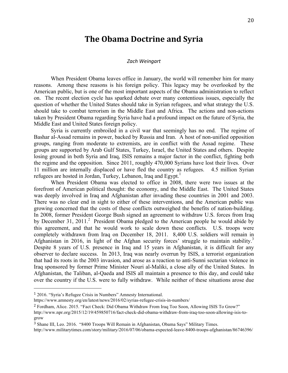## **The Obama Doctrine and Syria**

#### *Zach Weingart*

 When President Obama leaves office in January, the world will remember him for many reasons. Among these reasons is his foreign policy. This legacy may be overlooked by the American public, but is one of the most important aspects of the Obama administration to reflect on. The recent election cycle has sparked debate over many contentious issues, especially the question of whether the United States should take in Syrian refugees, and what strategy the U.S. should take to combat terrorism in the Middle East and Africa. The actions and non-actions taken by President Obama regarding Syria have had a profound impact on the future of Syria, the Middle East and United States foreign policy.

 Syria is currently embroiled in a civil war that seemingly has no end. The regime of Bashar al-Assad remains in power, backed by Russia and Iran. A host of non-unified opposition groups, ranging from moderate to extremists, are in conflict with the Assad regime. These groups are supported by Arab Gulf States, Turkey, Israel, the United States and others. Despite losing ground in both Syria and Iraq, ISIS remains a major factor in the conflict, fighting both the regime and the opposition. Since 2011, roughly 470,000 Syrians have lost their lives. Over 11 million are internally displaced or have fled the country as refugees. 4.5 million Syrian refugees are hosted in Jordan, Turkey, Lebanon, Iraq and Egypt.<sup>1</sup>

 When President Obama was elected to office in 2008, there were two issues at the forefront of American political thought: the economy, and the Middle East. The United States was deeply involved in Iraq and Afghanistan after invading these countries in 2001 and 2003. There was no clear end in sight to either of these interventions, and the American public was growing concerned that the costs of these conflicts outweighed the benefits of nation-building. In 2008, former President George Bush signed an agreement to withdraw U.S. forces from Iraq by December 31, 2011.<sup>2</sup> President Obama pledged to the American people he would abide by this agreement, and that he would work to scale down these conflicts. U.S. troops were completely withdrawn from Iraq on December 18, 2011. 8,400 U.S. soldiers will remain in Afghanistan in 2016, in light of the Afghan security forces' struggle to maintain stability.<sup>3</sup> Despite 8 years of U.S. presence in Iraq and 15 years in Afghanistan, it is difficult for any observer to declare success. In 2013, Iraq was nearly overrun by ISIS, a terrorist organization that had its roots in the 2003 invasion, and arose as a reaction to anti-Sunni sectarian violence in Iraq sponsored by former Prime Minister Nouri al-Maliki, a close ally of the United States. In Afghanistan, the Taliban, al-Qaeda and ISIS all maintain a presence to this day, and could take over the country if the U.S. were to fully withdraw. While neither of these situations arose due

 <sup>1</sup> 2016. "Syria's Refugee Crisis in Numbers" Amnesty International.

https://www.amnesty.org/en/latest/news/2016/02/syrias-refugee-crisis-in-numbers/

<sup>&</sup>lt;sup>2</sup> Fordham, Alice. 2015. "Fact Check: Did Obama Withdraw From Iraq Too Soon, Allowing ISIS To Grow?" http://www.npr.org/2015/12/19/459850716/fact-check-did-obama-withdraw-from-iraq-too-soon-allowing-isis-togrow

<sup>&</sup>lt;sup>3</sup> Shane III, Leo. 2016. "8400 Troops Will Remain in Afghanistan, Obama Says" Military Times.

http://www.militarytimes.com/story/military/2016/07/06/obama-expected-leave-8400-troops-afghanistan/86746396/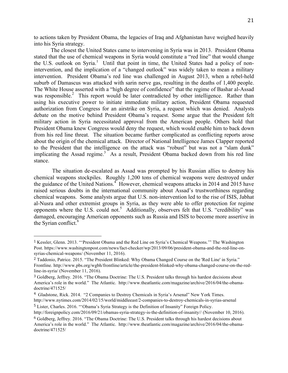to actions taken by President Obama, the legacies of Iraq and Afghanistan have weighed heavily into his Syria strategy.

 stated that the use of chemical weapons in Syria would constitute a "red line" that would change the U.S. outlook on Syria.<sup>1</sup> Until that point in time, the United States had a policy of non- intervention, and the implication of a "changed outlook" was widely taken to mean a military intervention. President Obama's red line was challenged in August 2013, when a rebel-held suburb of Damascus was attacked with sarin nerve gas, resulting in the deaths of 1,400 people. The White House asserted with a "high degree of confidence" that the regime of Bashar al-Assad was responsible.<sup>2</sup> This report would be later contradicted by other intelligence. Rather than using his executive power to initiate immediate military action, President Obama requested authorization from Congress for an airstrike on Syria, a request which was denied. Analysts debate on the motive behind President Obama's request. Some argue that the President felt military action in Syria necessitated approval from the American people. Others hold that President Obama knew Congress would deny the request, which would enable him to back down from his red line threat. The situation became further complicated as conflicting reports arose about the origin of the chemical attack. Director of National Intelligence James Clapper reported to the President that the intelligence on the attack was "robust" but was not a "slam dunk" implicating the Assad regime. $3.3$  As a result, President Obama backed down from his red line The closest the United States came to intervening in Syria was in 2013. President Obama stance.

 The situation de-escalated as Assad was prompted by his Russian allies to destroy his chemical weapons stockpiles. Roughly 1,200 tons of chemical weapons were destroyed under the guidance of the United Nations.<sup>4</sup> However, chemical weapons attacks in 2014 and 2015 have raised serious doubts in the international community about Assad's trustworthiness regarding chemical weapons. Some analysts argue that U.S. non-intervention led to the rise of ISIS, Jabhat al-Nusra and other extremist groups in Syria, as they were able to offer protection for regime opponents where the U.S. could not.<sup>5</sup> Additionally, observers felt that U.S. "credibility" was damaged, encouraging American opponents such as Russia and ISIS to become more assertive in the Syrian conflict.<sup>6</sup>

<sup>&</sup>lt;sup>1</sup> Kessler, Glenn. 2013. "'President Obama and the Red Line on Syria's Chemical Weapons."' The Washington syrias-chemical-weapons/ (November 11, 2016). Post. https://www.washingtonpost.com/news/fact-checker/wp/2013/09/06/president-obama-and-the-red-line-on-

<sup>&</sup>lt;sup>2</sup> Taddonio, Patrice. 2015. "The President Blinked: Why Obama Changed Course on the 'Red Line' in Syria." line-in-syria/ (November 11, 2016). Frontline. http://www.pbs.org/wgbh/frontline/article/the-president-blinked-why-obama-changed-course-on-the-red-

<sup>&</sup>lt;sup>3</sup> Goldberg, Jeffrey. 2016. "The Obama Doctrine: The U.S. President talks through his hardest decisions about America's role in the world." The Atlantic. http://www.theatlantic.com/magazine/archive/2016/04/the-obamadoctrine/471525/

 <sup>4</sup> Gladstone, Rick. 2014. "2 Companies to Destroy Chemicals in Syria's Arsenal" New York Times. http://www.nytimes.com/2014/02/15/world/middleeast/2-companies-to-destroy-chemicals-in-syrias-arsenal

<sup>&</sup>lt;sup>5</sup> Lister, Charles. 2016. "'Obama's Syria Strategy is the Definition of Insanity" Foreign Policy.

http://foreignpolicy.com/2016/09/21/obamas-syria-strategy-is-the-definition-of-insanity// (November 10, 2016).

<sup>&</sup>lt;sup>6</sup> Goldberg, Jeffrey. 2016. "The Obama Doctrine: The U.S. President talks through his hardest decisions about America's role in the world." The Atlantic. http://www.theatlantic.com/magazine/archive/2016/04/the-obamadoctrine/471525/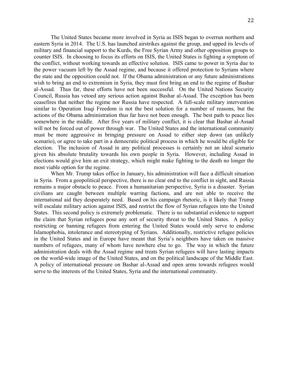eastern Syria in 2014. The U.S. has launched airstrikes against the group, and upped its levels of military and financial support to the Kurds, the Free Syrian Army and other opposition groups to The United States became more involved in Syria as ISIS began to overrun northern and

 counter ISIS. In choosing to focus its efforts on ISIS, the United States is fighting a symptom of the conflict, without working towards an effective solution. ISIS came to power in Syria due to the power vacuum left by the Assad regime, and because it offered protection to Syrians where the state and the opposition could not. If the Obama administration or any future administrations wish to bring an end to extremism in Syria, they must first bring an end to the regime of Bashar al-Assad. Thus far, these efforts have not been successful. On the United Nations Security Council, Russia has vetoed any serious action against Bashar al-Assad. The exception has been ceasefires that neither the regime nor Russia have respected. A full-scale military intervention similar to Operation Iraqi Freedom is not the best solution for a number of reasons, but the actions of the Obama administration thus far have not been enough. The best path to peace lies somewhere in the middle. After five years of military conflict, it is clear that Bashar al-Assad will not be forced out of power through war. The United States and the international community must be more aggressive in bringing pressure on Assad to either step down (an unlikely scenario), or agree to take part in a democratic political process in which he would be eligible for election. The inclusion of Assad in any political processes is certainly not an ideal scenario given his absolute brutality towards his own people in Syria. However, including Assad in elections would give him an exit strategy, which might make fighting to the death no longer the most viable option for the regime.

 When Mr. Trump takes office in January, his administration will face a difficult situation in Syria. From a geopolitical perspective, there is no clear end to the conflict in sight, and Russia remains a major obstacle to peace. From a humanitarian perspective, Syria is a disaster. Syrian civilians are caught between multiple warring factions, and are not able to receive the international aid they desperately need. Based on his campaign rhetoric, is it likely that Trump will escalate military action against ISIS, and restrict the flow of Syrian refugees into the United States. This second policy is extremely problematic. There is no substantial evidence to support the claim that Syrian refugees pose any sort of security threat to the United States. A policy restricting or banning refugees from entering the United States would only serve to endorse Islamophobia, intolerance and stereotyping of Syrians. Additionally, restrictive refugee policies in the United States and in Europe have meant that Syria's neighbors have taken on massive numbers of refugees, many of whom have nowhere else to go. The way in which the future administration deals with the Assad regime and treats Syrian refugees will have lasting impacts on the world-wide image of the United States, and on the political landscape of the Middle East. A policy of international pressure on Bashar al-Assad and open arms towards refugees would serve to the interests of the United States, Syria and the international community.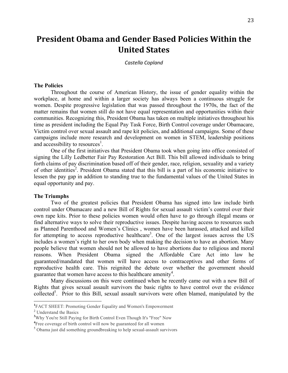# **President Obama and Gender Based Policies Within the United States**

*Castella Copland*

### **The Policies**

 Throughout the course of American History, the issue of gender equality within the workplace, at home and within a larger society has always been a continuous struggle for women. Despite progressive legislation that was passed throughout the 1970s, the fact of the matter remains that women still do not have equal representation and opportunities within their communities. Recognizing this, President Obama has taken on multiple initiatives throughout his time as president including the Equal Pay Task Force, Birth Control coverage under Obamacare, Victim control over sexual assault and rape kit policies, and additional campaigns. Some of these campaigns include more research and development on women in STEM, leadership positions and accessibility to resources<sup>1</sup>.

 One of the first initiatives that President Obama took when going into office consisted of signing the Lilly Ledbetter Fair Pay Restoration Act Bill. This bill allowed individuals to bring forth claims of pay discrimination based off of their gender, race, religion, sexuality and a variety of other identities<sup>2</sup>. President Obama stated that this bill is a part of his economic initiative to lessen the pay gap in addition to standing true to the fundamental values of the United States in equal opportunity and pay.

### **The Triumphs**

 Two of the greatest policies that President Obama has signed into law include birth control under Obamacare and a new Bill of Rights for sexual assault victim's control over their own rape kits. Prior to these policies women would often have to go through illegal means or find alternative ways to solve their reproductive issues. Despite having access to resources such as Planned Parenthood and Women's Clinics , women have been harassed, attacked and killed for attempting to access reproductive healthcare<sup>3</sup>. One of the largest issues across the US includes a women's right to her own body when making the decision to have an abortion. Many people believe that women should not be allowed to have abortions due to religious and moral reasons. When President Obama signed the Affordable Care Act into law he guaranteed/mandated that women will have access to contraceptives and other forms of reproductive health care. This reignited the debate over whether the government should guarantee that women have access to this healthcare amenity<sup>4</sup>.

 Many discussions on this were continued when he recently came out with a new Bill of Rights that gives sexual assault survivors the basic rights to have control over the evidence collected<sup>5</sup>. Prior to this Bill, sexual assault survivors were often blamed, manipulated by the

<sup>&</sup>lt;sup>1</sup>FACT SHEET: Promoting Gender Equality and Women's Empowerment<sup>2</sup> Understand the Basics

<sup>&</sup>lt;sup>2</sup> Understand the Basics

 **3** Why You're Still Paying for Birth Control Even Though It's "Free" Now

<sup>&</sup>lt;sup>4</sup>Free

<sup>&</sup>lt;sup>4</sup> Free coverage of birth control will now be guaranteed for all women <sup>5</sup> Obama just did something groundbreaking to help sexual-assault survivors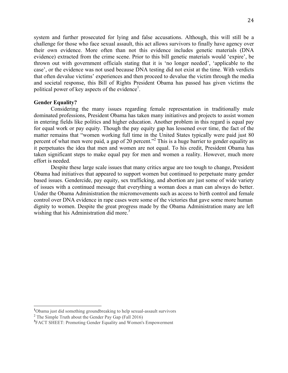system and further prosecuted for lying and false accusations. Although, this will still be a challenge for those who face sexual assault, this act allows survivors to finally have agency over their own evidence. More often than not this evidence includes genetic materials (DNA evidence) extracted from the crime scene. Prior to this bill genetic materials would 'expire', be thrown out with government officials stating that it is 'no longer needed', 'applicable to the case', or the evidence was not used because DNA testing did not exist at the time. With verdicts that often devalue victims' experiences and then proceed to devalue the victim through the media and societal response, this Bill of Rights President Obama has passed has given victims the political power of key aspects of the evidence<sup>1</sup>.

### **Gender Equality?**

 dominated professions, President Obama has taken many initiatives and projects to assist women in entering fields like politics and higher education. Another problem in this regard is equal pay for equal work or pay equity. Though the pay equity gap has lessened over time, the fact of the matter remains that "women working full time in the United States typically were paid just 80 percent of what men were paid, a gap of 20 percent."<sup>2</sup> This is a huge barrier to gender equality as it perpetuates the idea that men and women are not equal. To his credit, President Obama has taken significant steps to make equal pay for men and women a reality. However, much more Considering the many issues regarding female representation in traditionally male effort is needed.

 Despite these large scale issues that many critics argue are too tough to change, President Obama had initiatives that appeared to support women but continued to perpetuate many gender based issues. Gendercide, pay equity, sex trafficking, and abortion are just some of wide variety of issues with a continued message that everything a woman does a man can always do better. Under the Obama Administration the micromovements such as access to birth control and female dignity to women. Despite the great progress made by the Obama Administration many are left control over DNA evidence in rape cases were some of the victories that gave some more human wishing that his Administration did more.<sup>3</sup>

<sup>&</sup>lt;sup>1</sup>Obama just did something groundbreaking to help sexual-assault survivors<sup>2</sup> The Simple Truth about the Gender Pay Gap (Fall 2016)

 $2$  The Simple Truth about the Gender Pay Gap (Fall 2016)

 **3** FACT SHEET: Promoting Gender Equality and Women's Empowerment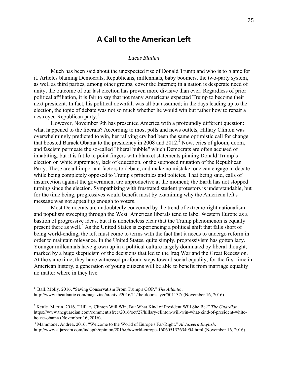# **A Call to the American Left**

### *Lucas Bladen*

Much has been said about the unexpected rise of Donald Trump and who is to blame for it. Articles blaming Democrats, Republicans, millennials, baby boomers, the two-party system, as well as third parties, among other groups, cover the Internet; in a nation is desperate need of unity, the outcome of our last election has proven more divisive than ever. Regardless of prior political affiliation, it is fair to say that not many Americans expected Trump to become their next president. In fact, his political downfall was all but assumed; in the days leading up to the election, the topic of debate was not so much whether he would win but rather how to repair a destroyed Republican party.<sup>1</sup>

However, November 9th has presented America with a profoundly different question: what happened to the liberals? According to most polls and news outlets, Hillary Clinton was overwhelmingly predicted to win, her rallying cry had been the same optimistic call for change that boosted Barack Obama to the presidency in 2008 and 2012.<sup>2</sup> Now, cries of gloom, doom, and fascism permeate the so-called "liberal bubble" which Democrats are often accused of inhabiting, but it is futile to point fingers with blanket statements pinning Donald Trump's election on white supremacy, lack of education, or the supposed mutation of the Republican Party. These are all important factors to debate, and make no mistake: one can engage in debate while being completely opposed to Trump's principles and policies. That being said, calls of insurrection against the government are unproductive at the moment; the Earth has not stopped turning since the election. Sympathizing with frustrated student protestors is understandable, but for the time being, progressives would benefit most by examining why the American left's message was not appealing enough to voters.

Most Democrats are undoubtedly concerned by the trend of extreme-right nationalism and populism sweeping through the West. American liberals tend to label Western Europe as a bastion of progressive ideas, but it is nonetheless clear that the Trump phenomenon is equally present there as well.<sup>3</sup> As the United States is experiencing a political shift that falls short of being world-ending, the left must come to terms with the fact that it needs to undergo reform in order to maintain relevance. In the United States, quite simply, progressivism has gotten lazy. Younger millennials have grown up in a political culture largely dominated by liberal thought, marked by a huge skepticism of the decisions that led to the Iraq War and the Great Recession. At the same time, they have witnessed profound steps toward social equality; for the first time in American history, a generation of young citizens will be able to benefit from marriage equality no matter where in they live.

<sup>&</sup>lt;sup>1</sup> Ball, Molly. 2016. "Saving Conservatism From Trump's GOP." The Atlantic. http://www.theatlantic.com/magazine/archive/2016/11/the-doomsayer/501137/ (November 16, 2016).

 2 Kettle, Martin. 2016. "Hillary Clinton Will Win. But What Kind of President Will She Be?" *The Guardian*. house-obama (November 16, 2016). https://www.theguardian.com/commentisfree/2016/oct/27/hillary-clinton-will-win-what-kind-of-president-white-

 <sup>3</sup> Mammone, Andrea. 2016. "Welcome to the World of Europe's Far-Right." *Al Jazeera English*. http://www.aljazeera.com/indepth/opinion/2016/06/world-europe-160605132634954.html (November 16, 2016).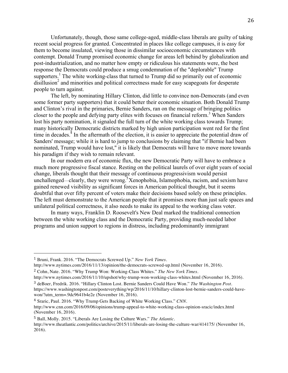Unfortunately, though, those same college-aged, middle-class liberals are guilty of taking recent social progress for granted. Concentrated in places like college campuses, it is easy for them to become insulated, viewing those in dissimilar socioeconomic circumstances with contempt. Donald Trump promised economic change for areas left behind by globalization and post-industrialization, and no matter how empty or ridiculous his statements were, the best response the Democrats could produce a smug condemnation of the "deplorable" Trump supporters.<sup>1</sup> The white working-class that turned to Trump did so primarily out of economic disillusion<sup>2</sup> and minorities and political correctness made for easy scapegoats for desperate people to turn against.

time in decades.<sup>4</sup> In the aftermath of the election, it is easier to appreciate the potential draw of The left, by nominating Hillary Clinton, did little to convince non-Democrats (and even some former party supporters) that it could better their economic situation. Both Donald Trump and Clinton's rival in the primaries, Bernie Sanders, ran on the message of bringing politics closer to the people and defying party elites with focuses on financial reform.<sup>3</sup> When Sanders lost his party nomination, it signaled the full turn of the white working class towards Trump; many historically Democratic districts marked by high union participation went red for the first Sanders' message; while it is hard to jump to conclusions by claiming that "if Bernie had been nominated, Trump would have lost," it is likely that Democrats will have to move more towards his paradigm if they wish to remain relevant.

In our modern era of economic flux, the new Democratic Party will have to embrace a much more progressive fiscal stance. Resting on the political laurels of over eight years of social change, liberals thought that their message of continuous progressivism would persist unchallenged—clearly, they were wrong.<sup>5</sup> Xenophobia, Islamophobia, racism, and sexism have gained renewed visibility as significant forces in American political thought, but it seems doubtful that over fifty percent of voters make their decisions based solely on these principles. The left must demonstrate to the American people that it promises more than just safe spaces and unilateral political correctness, it also needs to make its appeal to the working class voter.

In many ways, Franklin D. Roosevelt's New Deal marked the traditional connection between the white working class and the Democratic Party, providing much-needed labor programs and union support to regions in distress, including predominantly immigrant

 <sup>1</sup> Bruni, Frank. 2016. "The Democrats Screwed Up." *New York Times*.

 http://www.nytimes.com/2016/11/13/opinion/the-democrats-screwed-up.html (November 16, 2016).

 <sup>2</sup> Cohn, Nate. 2016. "Why Trump Won: Working-Class Whites." *The New York Times*.

 http://www.nytimes.com/2016/11/10/upshot/why-trump-won-working-class-whites.html (November 16, 2016).

 <sup>3</sup> deBoer, Fredrik. 2016. "Hillary Clinton Lost. Bernie Sanders Could Have Won." *The Washington Post*. won/?utm\_term=.9dc9641b4e2e (November 16, 2016). https://www.washingtonpost.com/posteverything/wp/2016/11/10/hillary-clinton-lost-bernie-sanders-could-have-

 <sup>4</sup> Sraric, Paul. 2016. "Why Trump Gets Backing of White Working Class." *CNN*.

 (November 16, 2016). http://www.cnn.com/2016/09/06/opinions/trump-appeal-to-white-working-class-opinion-sracic/index.html

 <sup>5</sup> Ball, Molly. 2015. "Liberals Are Losing the Culture Wars." *The Atlantic*.

 http://www.theatlantic.com/politics/archive/2015/11/liberals-are-losing-the-culture-war/414175/ (November 16, 2016).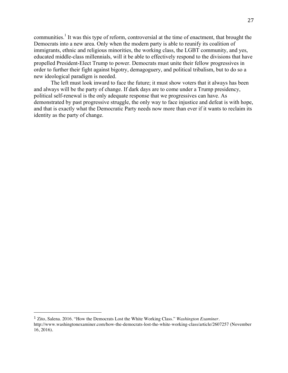communities.<sup>1</sup> It was this type of reform, controversial at the time of enactment, that brought the Democrats into a new area. Only when the modern party is able to reunify its coalition of immigrants, ethnic and religious minorities, the working class, the LGBT community, and yes, educated middle-class millennials, will it be able to effectively respond to the divisions that have propelled President-Elect Trump to power. Democrats must unite their fellow progressives in order to further their fight against bigotry, demagoguery, and political tribalism, but to do so a new ideological paradigm is needed.

The left must look inward to face the future; it must show voters that it always has been and always will be the party of change. If dark days are to come under a Trump presidency, political self-renewal is the only adequate response that we progressives can have. As demonstrated by past progressive struggle, the only way to face injustice and defeat is with hope, and that is exactly what the Democratic Party needs now more than ever if it wants to reclaim its identity as the party of change.

 http://www.washingtonexaminer.com/how-the-democrats-lost-the-white-working-class/article/2607257 (November <sup>1</sup> Zito, Salena. 2016. "How the Democrats Lost the White Working Class." *Washington Examiner*. 16, 2016).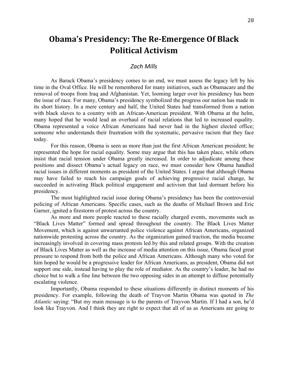# **Obama's Presidency: The Re-Emergence Of Black Political Activism**

### *Zach Mills*

 As Barack Obama's presidency comes to an end, we must assess the legacy left by his time in the Oval Office. He will be remembered for many initiatives, such as Obamacare and the removal of troops from Iraq and Afghanistan. Yet, looming larger over his presidency has been the issue of race. For many, Obama's presidency symbolized the progress our nation has made in its short history. In a mere century and half, the United States had transformed from a nation with black slaves to a country with an African-American president. With Obama at the helm, many hoped that he would lead an overhaul of racial relations that led to increased equality. Obama represented a voice African Americans had never had in the highest elected office; someone who understands their frustration with the systematic, pervasive racism that they face today.

 For this reason, Obama is seen as more than just the first African American president; he represented the hope for racial equality. Some may argue that this has taken place, while others insist that racial tension under Obama greatly increased. In order to adjudicate among these positions and dissect Obama's actual legacy on race, we must consider how Obama handled racial issues in different moments as president of the United States. I argue that although Obama may have failed to reach his campaign goals of achieving progressive racial change, he succeeded in activating Black political engagement and activism that laid dormant before his presidency.

 The most highlighted racial issue during Obama's presidency has been the controversial policing of African Americans. Specific cases, such as the deaths of Michael Brown and Eric Garner, ignited a firestorm of protest across the country.

 As more and more people reacted to these racially charged events, movements such as "Black Lives Matter" formed and spread throughout the country. The Black Lives Matter Movement, which is against unwarranted police violence against African Americans, organized nationwide protesting across the country. As the organization gained traction, the media became increasingly involved in covering mass protests led by this and related groups. With the creation of Black Lives Matter as well as the increase of media attention on this issue, Obama faced great pressure to respond from both the police and African Americans. Although many who voted for him hoped he would be a progressive leader for African Americans, as president, Obama did not support one side, instead having to play the role of mediator. As the country's leader, he had no choice but to walk a fine line between the two opposing sides in an attempt to diffuse potentially escalating violence.

 Importantly, Obama responded to these situations differently in distinct moments of his presidency. For example, following the death of Trayvon Martin Obama was quoted in *The Atlantic* saying: "But my main message is to the parents of Trayvon Martin. If I had a son, he'd look like Trayvon. And I think they are right to expect that all of us as Americans are going to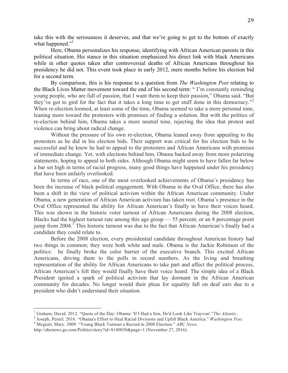take this with the seriousness it deserves, and that we're going to get to the bottom of exactly what happened."<sup>1</sup>

 Here, Obama personalizes his response, identifying with African American parents in this political situation. His stance in this situation emphasized his direct link with black Americans while in other quotes taken after controversial deaths of African Americans throughout his presidency he did not. This event took place in early 2012, mere months before his election bid for a second term.

 By comparison, this is his response to a question from *The Washington Post* relating to the Black Lives Matter movement toward the end of his second term: " I'm constantly reminding young people, who are full of passion, that I want them to keep their passion," Obama said. "But they've got to gird for the fact that it takes a long time to get stuff done in this democracy."<sup>2</sup> When re-election loomed, at least some of the time, Obama seemed to take a more personal tone, leaning more toward the protesters with promises of finding a solution. But with the politics of re-election behind him, Obama takes a more neutral tone, rejecting the idea that protest and violence can bring about radical change.

 Without the pressure of his own re-election, Obama leaned away from appealing to the protesters as he did in his election bids. Their support was critical for his election bids to be successful and he knew he had to appeal to the protesters and African Americans with promises of immediate change. Yet, with elections behind him, Obama backed away from more polarizing statements, hoping to appeal to both sides. Although Obama might seem to have fallen far below a bar set high in terms of racial progress, many good things have happened under his presidency that have been unfairly overlooked.

 In terms of race, one of the most overlooked achievements of Obama's presidency has been the increase of black political engagement. With Obama in the Oval Office, there has also been a shift in the view of political activism within the African American community. Under Obama, a new generation of African American activism has taken root. Obama's presence in the Oval Office represented the ability for African American's finally to have their voices heard. This was shown in the historic voter turnout of African Americans during the 2008 election, Blacks had the highest turnout rate among this age group — 55 percent, or an 8 percentage point jump from 2004.<sup>3</sup> This historic turnout was due to the fact that African American's finally had a candidate they could relate to.

 Before the 2008 election, every presidential candidate throughout American history had two things in common; they were both white and male. Obama is the Jackie Robinson of the politics: he finally broke the color barrier of the executive branch. This excited African Americans, driving them to the polls in record numbers. As the living and breathing representation of the ability for African Americans to take part and affect the political process, African American's felt they would finally have their voice heard. The simple idea of a Black President ignited a spark of political activism that lay dormant in the African American community for decades. No longer would their pleas for equality fall on deaf ears due to a president who didn't understand their situation.

<sup>&</sup>lt;sup>1</sup> Graham, David. 2012. "Quote of the Day: Obama: 'If I Had a Son, He'd Look Like Trayvon'."The Atlantic.

<sup>&</sup>lt;sup>1</sup> Graham, David. 2012. "Quote of the Day: Obama: 'If I Had a Son, He'd Look Like Trayvon'." The Atlantic.<br><sup>2</sup> Joseph, Peniel. 2016. "Obama's Effort to Heal Racial Divisions and Uplift Black America." *Washington Post.*<br><sup></sup>

<sup>&</sup>lt;sup>3</sup> Mcguirt, Mary. 2009. "Young Black Turnout a Record in 2008 Election." ABC News.

 http://abcnews.go.com/Politics/story?id=8140030&page=1 (November 27, 2016).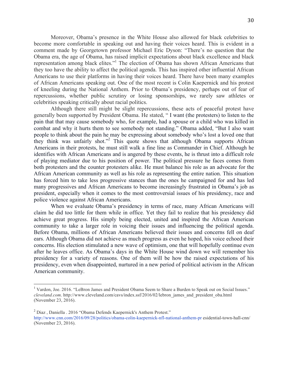Moreover, Obama's presence in the White House also allowed for black celebrities to become more comfortable in speaking out and having their voices heard. This is evident in a comment made by Georgetown professor Michael Eric Dyson: "There's no question that the Obama era, the age of Obama, has raised implicit expectations about black excellence and black representation among black elites."<sup>1</sup> The election of Obama has shown African Americans that they too have the ability to affect the political agenda. This has inspired other influential African Americans to use their platforms in having their voices heard. There have been many examples of African Americans speaking out. One of the most recent is Colin Kaepernick and his protest of kneeling during the National Anthem. Prior to Obama's presidency, perhaps out of fear of repercussions, whether public scrutiny or losing sponsorships, we rarely saw athletes or celebrities speaking critically about racial politics.

 Although there still might be slight repercussions, these acts of peaceful protest have generally been supported by President Obama. He stated, " I want (the protesters) to listen to the pain that that may cause somebody who, for example, had a spouse or a child who was killed in combat and why it hurts them to see somebody not standing." Obama added, "But I also want people to think about the pain he may be expressing about somebody who's lost a loved one that they think was unfairly shot."<sup>2</sup> This quote shows that although Obama supports African Americans in their protests, he must still walk a fine line as Commander in Chief. Although he identifies with African Americans and is angered by these events, he is thrust into a difficult role of playing mediator due to his position of power. The political pressure he faces comes from both protesters and the counter protesters alike. He must balance his role as an advocate for the African American community as well as his role as representing the entire nation. This situation has forced him to take less progressive stances than the ones he campaigned for and has led many progressives and African Americans to become increasingly frustrated in Obama's job as president, especially when it comes to the most controversial issues of his presidency, race and police violence against African Americans.

 When we evaluate Obama's presidency in terms of race, many African Americans will claim he did too little for them while in office. Yet they fail to realize that his presidency did achieve great progress. His simply being elected, united and inspired the African American community to take a larger role in voicing their issues and influencing the political agenda. Before Obama, millions of African Americans believed their issues and concerns fell on deaf ears. Although Obama did not achieve as much progress as even he hoped, his voice echoed their concerns. His election stimulated a new wave of optimism, one that will hopefully continue even after he leaves office. As Obama's days in the White House wind down we will remember his presidency for a variety of reasons. One of them will be how the raised expectations of his presidency, even when disappointed, nurtured in a new period of political activism in the African American community.

<sup>&</sup>lt;sup>1</sup> Vardon, Joe. 2016. "LeBron James and President Obama Seem to Share a Burden to Speak out on Social Issues." *cleveland.com*. http://www.cleveland.com/cavs/index.ssf/2016/02/lebron\_james\_and\_president\_oba.html (November 23, 2016).

 $2$  Diaz, Daniella . 2016 "Obama Defends Kaepernick's Anthem Protest."

http://www.cnn.com/2016/09/28/politics/obama-colin-kaepernick-nfl-national-anthem-pr esidential-town-hall-cnn/ (November 23, 2016).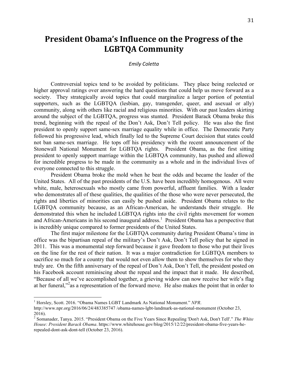# **President Obama's Influence on the Progress of the LGBTQA Community**

### *Emily Coletta*

 Controversial topics tend to be avoided by politicians. They place being reelected or higher approval ratings over answering the hard questions that could help us move forward as a society. They strategically avoid topics that could marginalize a larger portion of potential supporters, such as the LGBTQA (lesbian, gay, transgender, queer, and asexual or ally) community, along with others like racial and religious minorities. With our past leaders skirting around the subject of the LGBTQA, progress was stunted. President Barack Obama broke this trend, beginning with the repeal of the Don't Ask, Don't Tell policy. He was also the first president to openly support same-sex marriage equality while in office. The Democratic Party followed his progressive lead, which finally led to the Supreme Court decision that states could not ban same-sex marriage. He tops off his presidency with the recent announcement of the Stonewall National Monument for LGBTQA rights. President Obama, as the first sitting president to openly support marriage within the LGBTQA community, has pushed and allowed for incredible progress to be made in the community as a whole and in the individual lives of everyone connected to this struggle.

 President Obama broke the mold when he beat the odds and became the leader of the United States. All of the past presidents of the U.S. have been incredibly homogenous. All were white, male, heterosexuals who mostly came from powerful, affluent families. With a leader who demonstrates all of these qualities, the qualities of the those who were never persecuted, the rights and liberties of minorities can easily be pushed aside. President Obama relates to the LGBTQA community because, as an African-American, he understands their struggle. He demonstrated this when he included LGBTQA rights into the civil rights movement for women and African-Americans in his second inaugural address.<sup>1</sup> President Obama has a perspective that is incredibly unique compared to former presidents of the United States.

 office was the bipartisan repeal of the military's Don't Ask, Don't Tell policy that he signed in 2011. This was a monumental step forward because it gave freedom to those who put their lives on the line for the rest of their nation. It was a major contradiction for LGBTQA members to sacrifice so much for a country that would not even allow them to show themselves for who they truly are. On the fifth anniversary of the repeal of Don't Ask, Don't Tell, the president posted on his Facebook account reminiscing about the repeal and the impact that it made. He described, "Because of all we've accomplished together, a grieving widow can now receive her wife's flag at her funeral,"<sup>2</sup> as a representation of the forward move. He also makes the point that in order to The first major milestone for the LGBTQA community during President Obama's time in

 1 Horsley, Scott. 2016. "Obama Names LGBT Landmark As National Monument." *NPR*.

 http://www.npr.org/2016/06/24/483385747 /obama-names-lgbt-landmark-as-national-monument (October 23, 2016).

 2 Somanader, Tanya. 2015. "President Obama on the Five Years Since Repealing 'Don't Ask, Don't Tell'." *The White House: President Barack Obama*. https://www.whitehouse.gov/blog/2015/12/22/president-obama-five-years-herepealed-dont-ask-dont-tell (October 23, 2016).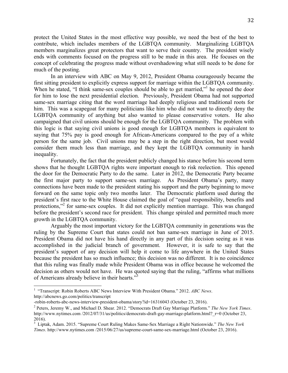protect the United States in the most effective way possible, we need the best of the best to contribute, which includes members of the LGBTQA community. Marginalizing LGBTQA members marginalizes great protectors that want to serve their country. The president wisely ends with comments focused on the progress still to be made in this area. He focuses on the concept of celebrating the progress made without overshadowing what still needs to be done for much of the posting.

 In an interview with ABC on May 9, 2012, President Obama courageously became the first sitting president to explicitly express support for marriage within the LGBTQA community. When he stated, "I think same-sex couples should be able to get married,"<sup>1</sup> he opened the door for him to lose the next presidential election. Previously, President Obama had not supported same-sex marriage citing that the word marriage had deeply religious and traditional roots for him. This was a scapegoat for many politicians like him who did not want to directly deny the LGBTQA community of anything but also wanted to please conservative voters. He also campaigned that civil unions should be enough for the LGBTQA community. The problem with this logic is that saying civil unions is good enough for LGBTQA members is equivalent to saying that 75% pay is good enough for African-Americans compared to the pay of a white person for the same job. Civil unions may be a step in the right direction, but most would consider them much less than marriage, and they kept the LGBTQA community in harsh inequality.

 Fortunately, the fact that the president publicly changed his stance before his second term shows that he thought LGBTQA rights were important enough to risk reelection. This opened the door for the Democratic Party to do the same. Later in 2012, the Democratic Party became the first major party to support same-sex marriage. As President Obama's party, many connections have been made to the president stating his support and the party beginning to move forward on the same topic only two months later. The Democratic platform used during the president's first race to the White House claimed the goal of "equal responsibility, benefits and protections,"<sup>2</sup> for same-sex couples. It did not explicitly mention marriage. This was changed before the president's second race for president. This change spiraled and permitted much more growth in the LGBTQA community.

 Arguably the most important victory for the LGBTQA community in generations was the ruling by the Supreme Court that states could not ban same-sex marriage in June of 2015. President Obama did not have his hand directly in any part of this decision seeing as it was accomplished in the judicial branch of government. However, it is safe to say that the president's support of any decision will help it come to life anywhere in the United States because the president has so much influence; this decision was no different. It is no coincidence that this ruling was finally made while President Obama was in office because he welcomed the decision as others would not have. He was quoted saying that the ruling, "affirms what millions of Americans already believe in their hearts."3

<sup>&</sup>lt;sup>1</sup> "Transcript: Robin Roberts ABC News Interview With President Obama." 2012. ABC News. http://abcnews.go.com/politics/transcript

<sup>-</sup>robin-roberts-abc-news-interview-president-obama/story?id=16316043 (October 23, 2016).

 -robin-roberts-abc-news-interview-president-obama/story?id=16316043 (October 23, 2016). 2 Peters, Jeremy W., and Michael D. Shear. 2012. "Democrats Draft Gay Marriage Platform." *The New York Times*. http://www.nytimes.com /2012/07/31/us/politics/democrats-draft-gay-marriage-platform.html?\_r=0 (October 23, 2016).

 3 Liptak, Adam. 2015. "Supreme Court Ruling Makes Same-Sex Marriage a Right Nationwide." *The New York Times*. http://www.nytimes.com /2015/06/27/us/supreme-court-same-sex-marriage.html (October 23, 2016).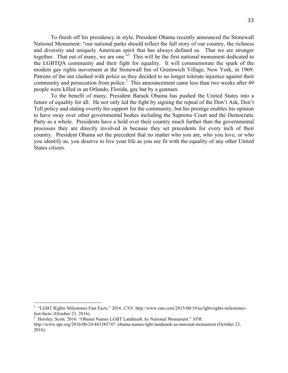To finish off his presidency in style, President Obama recently announced the Stonewall National Monument: "our national parks should reflect the full story of our country, the richness and diversity and uniquely American spirit that has always defined us. That we are stronger together. That out of many, we are one."<sup>1</sup> This will be the first national monument dedicated to the LGBTQA community and their fight for equality. It will commemorate the spark of the modern gay rights movement at the Stonewall Inn of Greenwich Village, New York, in 1969. Patrons of the inn clashed with police as they decided to no longer tolerate injustice against their community and persecution from police.<sup>2</sup> This announcement came less than two weeks after 49 people were killed in an Orlando, Florida, gay bar by a gunmen.

 To the benefit of many, President Barack Obama has pushed the United States into a future of equality for all. He not only led the fight by signing the repeal of the Don't Ask, Don't Tell policy and stating overtly his support for the community, but his prestige enables his opinion to have sway over other governmental bodies including the Supreme Court and the Democratic Party as a whole. Presidents have a hold over their country much further than the governmental processes they are directly involved in because they set precedents for every inch of their country. President Obama set the precedent that no matter who you are, who you love, or who you identify as, you deserve to live your life as you see fit with the equality of any other United States citizen.

<sup>&</sup>lt;sup>1</sup> "LGBT Rights Milestones Fast Facts." 2016. *CNN*. http://www.cnn.com/2015/06/19/us/lgbt-rights-milestonesfast-facts/ (October 23, 2016). fast-facts/ (October 23, 2016). 2 Horsley, Scott. 2016. "Obama Names LGBT Landmark As National Monument." *NPR*.

 http://www.npr.org/2016/06/24/483385747 /obama-names-lgbt-landmark-as-national-monument (October 23, 2016).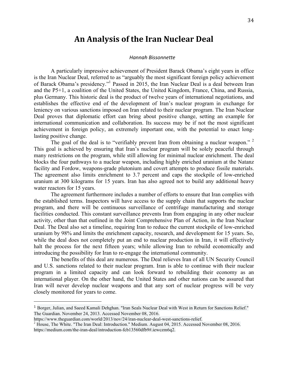# **An Analysis of the Iran Nuclear Deal**

#### *Hannah Bissonnette*

 A particularly impressive achievement of President Barack Obama's eight years in office is the Iran Nuclear Deal, referred to as "arguably the most significant foreign policy achievement of Barack Obama's presidency."1 Passed in 2015, the Iran Nuclear Deal is a deal between Iran and the P5+1, a coalition of the United States, the United Kingdom, France, China, and Russia, plus Germany. This historic deal is the product of twelve years of international negotiations, and establishes the effective end of the development of Iran's nuclear program in exchange for leniency on various sanctions imposed on Iran related to their nuclear program. The Iran Nuclear Deal proves that diplomatic effort can bring about positive change, setting an example for international communication and collaboration. Its success may be if not the most significant achievement in foreign policy, an extremely important one, with the potential to enact longlasting positive change.

 This goal is achieved by ensuring that Iran's nuclear program will be solely peaceful through many restrictions on the program, while still allowing for minimal nuclear enrichment. The deal blocks the four pathways to a nuclear weapon, including highly enriched uranium at the Natanz facility and Fordow, weapons-grade plutonium and covert attempts to produce fissile materials. The agreement also limits enrichment to 3.7 percent and caps the stockpile of low-enriched uranium at 300 kilograms for 15 years. Iran has also agreed not to build any additional heavy The goal of the deal is to "verifiably prevent Iran from obtaining a nuclear weapon." water reactors for 15 years.

 The agreement furthermore includes a number of efforts to ensure that Iran complies with the established terms. Inspectors will have access to the supply chain that supports the nuclear program, and there will be continuous surveillance of centrifuge manufacturing and storage facilities conducted. This constant surveillance prevents Iran from engaging in any other nuclear activity, other than that outlined in the Joint Comprehensive Plan of Action, in the Iran Nuclear Deal. The Deal also set a timeline, requiring Iran to reduce the current stockpile of low-enriched uranium by 98% and limits the enrichment capacity, research, and development for 15 years. So, while the deal does not completely put an end to nuclear production in Iran, it will effectively halt the process for the next fifteen years; while allowing Iran to rebuild economically and introducing the possibility for Iran to re-engage the international community.

 and U.S. sanctions related to their nuclear program. Iran is able to continue with their nuclear program in a limited capacity and can look forward to rebuilding their economy as an international player. On the other hand, the United States and other nations can be assured that Iran will never develop nuclear weapons and that any sort of nuclear progress will be very The benefits of this deal are numerous. The Deal relieves Iran of all UN Security Council closely monitored for years to come.

<sup>&</sup>lt;sup>1</sup> Borger, Julian, and Saeed Kamali Dehghan. "Iran Seals Nuclear Deal with West in Return for Sanctions Relief." The Guardian. November 24, 2013. Accessed November 08, 2016.

https://www.theguardian.com/world/2013/nov/24/iran-nuclear-deal-west-sanctions-relief.<br><sup>2</sup> House, The White. "The Iran Deal: Introduction." Medium. August 04, 2015. Accessed November 08, 2016. https://medium.com/the-iran-deal/introduction-fcb13560dfb9#.iewczm6q2.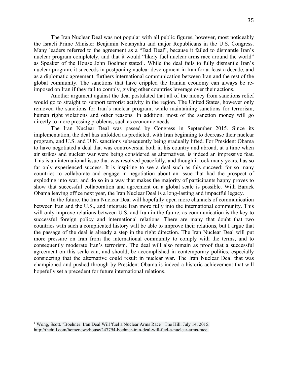The Iran Nuclear Deal was not popular with all public figures, however, most noticeably the Israeli Prime Minister Benjamin Netanyahu and major Republicans in the U.S. Congress. Many leaders referred to the agreement as a "Bad Deal", because it failed to dismantle Iran's nuclear program completely, and that it would "likely fuel nuclear arms race around the world" as Speaker of the House John Boehner stated<sup>1</sup>. While the deal fails to fully dismantle Iran's nuclear program, it succeeds in postponing nuclear development in Iran for at least a decade, and as a diplomatic agreement, furthers international communication between Iran and the rest of the global community. The sanctions that have crippled the Iranian economy can always be reimposed on Iran if they fail to comply, giving other countries leverage over their actions.

 Another argument against the deal postulated that all of the money from sanctions relief would go to straight to support terrorist activity in the region. The United States, however only removed the sanctions for Iran's nuclear program, while maintaining sanctions for terrorism, human right violations and other reasons. In addition, most of the sanction money will go directly to more pressing problems, such as economic needs.

 implementation, the deal has unfolded as predicted, with Iran beginning to decrease their nuclear program, and U.S. and U.N. sanctions subsequently being gradually lifted. For President Obama to have negotiated a deal that was controversial both in his country and abroad, at a time when This is an international issue that was resolved peacefully, and though it took many years, has so far only experienced success. It is inspiring to see a deal such as this succeed; for so many countries to collaborate and engage in negotiation about an issue that had the prospect of exploding into war, and do so in a way that makes the majority of participants happy proves to show that successful collaboration and agreement on a global scale is possible. With Barack The Iran Nuclear Deal was passed by Congress in September 2015. Since its air strikes and nuclear war were being considered as alternatives, is indeed an impressive feat. Obama leaving office next year, the Iran Nuclear Deal is a long-lasting and impactful legacy.

 In the future, the Iran Nuclear Deal will hopefully open more channels of communication between Iran and the U.S., and integrate Iran more fully into the international community. This will only improve relations between U.S. and Iran in the future, as communication is the key to successful foreign policy and international relations. There are many that doubt that two countries with such a complicated history will be able to improve their relations, but I argue that the passage of the deal is already a step in the right direction. The Iran Nuclear Deal will put more pressure on Iran from the international community to comply with the terms, and to consequently moderate Iran's terrorism. The deal will also remain as proof that a successful agreement on this scale can, and should, be accomplished in contemporary politics, especially considering that the alternative could result in nuclear war. The Iran Nuclear Deal that was championed and pushed through by President Obama is indeed a historic achievement that will hopefully set a precedent for future international relations.

<sup>&</sup>lt;sup>1</sup> Wong, Scott. "Boehner: Iran Deal Will 'fuel a Nuclear Arms Race'" The Hill. July 14, 2015. http://thehill.com/homenews/house/247794-boehner-iran-deal-will-fuel-a-nuclear-arms-race.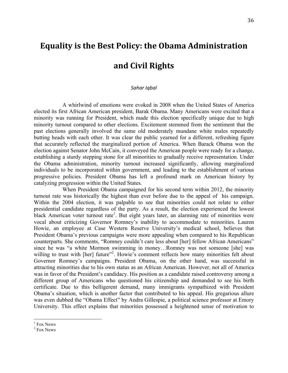# **Equality is the Best Policy: the Obama Administration**

# **and Civil Rights**

#### *Sahar Iqbal*

 A whirlwind of emotions were evoked in 2008 when the United States of America elected its first African American president, Barak Obama. Many Americans were excited that a minority was running for President, which made this election specifically unique due to high minority turnout compared to other elections. Excitement stemmed from the sentiment that the past elections generally involved the same old moderately mundane white males repeatedly butting heads with each other. It was clear the public yearned for a different, refreshing figure that accurately reflected the marginalized portion of America. When Barack Obama won the election against Senator John McCain, it conveyed the American people were ready for a change, establishing a sturdy stepping stone for all minorities to gradually receive representation. Under the Obama administration, minority turnout increased significantly, allowing marginalized individuals to be incorporated within government, and leading to the establishment of various progressive policies. President Obama has left a profound mark on American history by catalyzing progression within the United States.

 When President Obama campaigned for his second term within 2012, the minority turnout rate was historically the highest than ever before due to the appeal of his campaign. Within the 2004 election, it was palpable to see that minorities could not relate to either presidential candidate regardless of the party. As a result, the election experienced the lowest black American voter turnout rate<sup>1</sup>. But eight years later, an alarming rate of minorities were vocal about criticizing Governor Romney's inability to accommodate to minorities. Lauren Howie, an employee at Case Western Reserve University's medical school, believes that President Obama's previous campaigns were more appealing when compared to his Republican counterparts. She comments, "Romney couldn't care less about [her] fellow African Americans" since he was "a white Mormon swimming in money…Romney was not someone [she] was willing to trust with [her] future"<sup>2</sup>. Howie's comment reflects how many minorities felt about Governor Romney's campaigns. President Obama, on the other hand, was successful in attracting minorities due to his own status as an African American. However, not all of America was in favor of the President's candidacy. His position as a candidate raised controversy among a different group of Americans who questioned his citizenship and demanded to see his birth certificate. Due to this belligerent demand, many immigrants sympathized with President Obama's situation, which is another factor that contributed to his appeal. His gregarious allure was even dubbed the "Obama Effect" by Andra Gillespie, a political science professor at Emory University. This effect explains that minorities possessed a heightened sense of motivation to

<sup>&</sup>lt;sup>1</sup> Fox News

<sup>2</sup> Fox News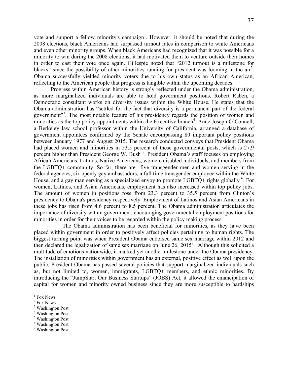vote and support a fellow minority's campaign<sup>1</sup>. However, it should be noted that during the 2008 elections, black Americans had surpassed turnout rates in comparison to white Americans and even other minority groups. When black Americans had recognized that it was possible for a minority to win during the 2008 elections, it had motivated them to venture outside their homes in order to cast their vote once again. Gillespie noted that "2012 turnout is a milestone for blacks" since the possibility of other minorities running for president was looming in the  $air<sup>2</sup>$ . Obama successfully yielded minority voters due to his own status as an African American, reflecting to the American people that progress is tangible within the upcoming decades.

 Progress within American history is strongly reflected under the Obama administration, as more marginalized individuals are able to hold government positions. Robert Raben, a Democratic consultant works on diversity issues within the White House. He states that the Obama administration has "settled for the fact that diversity is a permanent part of the federal government"<sup>3</sup>. The most notable feature of his presidency regards the position of women and minorities as the top policy appointments within the Executive branch<sup>4</sup>. Anne Joseph O'Connell, a Berkeley law school professor within the University of California, arranged a database of government appointees confirmed by the Senate encompassing 80 important policy positions between January 1977 and August 2015. The research conducted conveys that President Obama had placed women and minorities in 53.5 percent of these governmental posts, which is 27.9 percent higher than President George W. Bush<sup>5</sup>. President Obama's staff focuses on employing African Americans, Latinos, Native Americans, women, disabled individuals, and members from the LGBTQ+ community. So far, there are five transgender men and women serving in the federal agencies, six openly gay ambassadors, a full time transgender employee within the White House, and a gay man serving as a specialized envoy to promote  $LGBTQ$ + rights globally  $<sup>6</sup>$ . For</sup> women, Latinos, and Asian Americans, employment has also increased within top policy jobs. The amount of women in positions rose from 23.3 percent to 35.5 percent from Clinton's presidency to Obama's presidency respectively. Employment of Latinos and Asian Americans in these jobs has risen from 4.6 percent to 8.5 percent. The Obama administration articulates the importance of diversity within government, encouraging governmental employment positions for minorities in order for their voices to be regarded within the policy making process.

 The Obama administration has been beneficial for minorities, as they have been placed within government in order to positively affect policies pertaining to human rights. The biggest turning point was when President Obama endorsed same sex marriage within 2012 and then declared the legalization of same sex marriage on June  $26$ ,  $2015<sup>7</sup>$ . Although this solicited a multitude of emotions nationwide, it marked yet another milestone under the Obama presidency. The installation of minorities within government has an external, positive effect as well upon the public. President Obama has passed several policies that support marginalized individuals such as, but not limited to, women, immigrants, LGBTQ+ members, and ethnic minorities. By introducing the "JumpStart Our Business Startups" (JOBS) Act, it allowed the emancipation of capital for women and minority owned business since they are more susceptible to hardships

 

4 Washington Post

6 Washington Post

<sup>&</sup>lt;sup>1</sup> Fox News

<sup>&</sup>lt;sup>2</sup> Fox News

<sup>&</sup>lt;sup>3</sup> Washington Post

 5 Washington Post

<sup>7</sup> Washington Post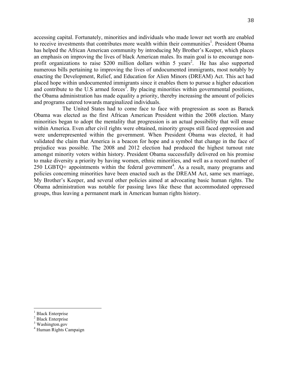accessing capital. Fortunately, minorities and individuals who made lower net worth are enabled to receive investments that contributes more wealth within their communities<sup>1</sup>. President Obama has helped the African American community by introducing My Brother's Keeper, which places an emphasis on improving the lives of black American males. Its main goal is to encourage nonprofit organizations to raise \$200 million dollars within 5 years<sup>2</sup>. He has also supported numerous bills pertaining to improving the lives of undocumented immigrants, most notably by enacting the Development, Relief, and Education for Alien Minors (DREAM) Act. This act had placed hope within undocumented immigrants since it enables them to pursue a higher education and contribute to the U.S armed forces<sup>3</sup>. By placing minorities within governmental positions, the Obama administration has made equality a priority, thereby increasing the amount of policies and programs catered towards marginalized individuals.

 The United States had to come face to face with progression as soon as Barack Obama was elected as the first African American President within the 2008 election. Many minorities began to adopt the mentality that progression is an actual possibility that will ensue within America. Even after civil rights were obtained, minority groups still faced oppression and were underrepresented within the government. When President Obama was elected, it had validated the claim that America is a beacon for hope and a symbol that change in the face of prejudice was possible. The 2008 and 2012 election had produced the highest turnout rate amongst minority voters within history. President Obama successfully delivered on his promise to make diversity a priority by having women, ethnic minorities, and well as a record number of  $250$  LGBTQ+ appointments within the federal government<sup>4</sup>. As a result, many programs and policies concerning minorities have been enacted such as the DREAM Act, same sex marriage, My Brother's Keeper, and several other policies aimed at advocating basic human rights. The Obama administration was notable for passing laws like these that accommodated oppressed groups, thus leaving a permanent mark in American human rights history.

<sup>&</sup>lt;sup>1</sup> Black Enterprise

<sup>&</sup>lt;sup>2</sup> Black Enterprise

<sup>3</sup> Washington.gov

 4 Human Rights Campaign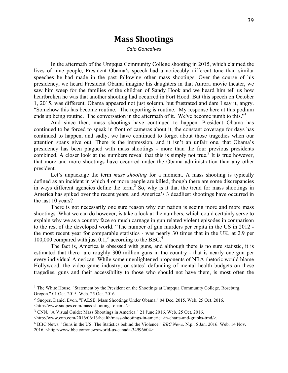### **Mass Shootings**

#### *Caio Goncalves*

 In the aftermath of the Umpqua Community College shooting in 2015, which claimed the lives of nine people, President Obama's speech had a noticeably different tone than similar speeches he had made in the past following other mass shootings. Over the course of his presidency, we heard President Obama imagine his daughters in that Aurora movie theater, we saw him weep for the families of the children of Sandy Hook and we heard him tell us how heartbroken he was that another shooting had occurred in Fort Hood. But this speech on October 1, 2015, was different. Obama appeared not just solemn, but frustrated and dare I say it, angry. "Somehow this has become routine. The reporting is routine. My response here at this podium ends up being routine. The conversation in the aftermath of it. We've become numb to this."

 And since then, mass shootings have continued to happen. President Obama has continued to be forced to speak in front of cameras about it, the constant coverage for days has continued to happen, and sadly, we have continued to forget about those tragedies when our attention spans give out. There is the impression, and it isn't an unfair one, that Obama's presidency has been plagued with mass shootings - more than the four previous presidents combined. A closer look at the numbers reveal that this is simply not true.<sup>2</sup> It is true however, that more and more shootings have occurred under the Obama administration than any other president.

 Let's unpackage the term *mass shooting* for a moment. A mass shooting is typically defined as an incident in which 4 or more people are killed, though there are some discrepancies in ways different agencies define the term.<sup>3</sup> So, why is it that the trend for mass shootings in America has spiked over the recent years, and America's 3 deadliest shootings have occurred in the last 10 years?

 There is not necessarily one sure reason why our nation is seeing more and more mass shootings. What we can do however, is take a look at the numbers, which could certainly serve to explain why we as a country face so much carnage in gun related violent episodes in comparison to the rest of the developed world. "The number of gun murders per capita in the US in 2012 - the most recent year for comparable statistics - was nearly 30 times that in the UK, at 2.9 per 100,000 compared with just 0.1," according to the BBC. $4$ 

 The fact is, America is obsessed with guns, and although there is no sure statistic, it is estimated that there are roughly 300 million guns in the country - that is nearly one gun per every individual American. While some unenlightened proponents of NRA rhetoric would blame Hollywood, the video game industry, or states' defunding of mental health budgets on these tragedies, guns and their accessibility to those who should not have them, is most often the

 $<sup>1</sup>$  The White House. "Statement by the President on the Shootings at Umpqua Community College, Roseburg,</sup> Oregon." 01 Oct. 2015. Web. 25 Oct. 2016.

 <sup>2</sup> Snopes. Daniel Evon. "FALSE: Mass Shootings Under Obama." 04 Dec. 2015. Web. 25 Oct. 2016. <http://www.snopes.com/mass-shootings-obama/>.

 <sup>3</sup> CNN. "A Visual Guide: Mass Shootings in America." 21 June 2016. Web. 25 Oct. 2016.

<sup>&</sup>lt;http://www.cnn.com/2016/06/13/health/mass-shootings-in-america-in-charts-and-graphs-trnd/>.

 <sup>4</sup> BBC News. "Guns in the US: The Statistics behind the Violence." *BBC News*. N.p., 5 Jan. 2016. Web. 14 Nov. 2016. <http://www.bbc.com/news/world-us-canada-34996604>.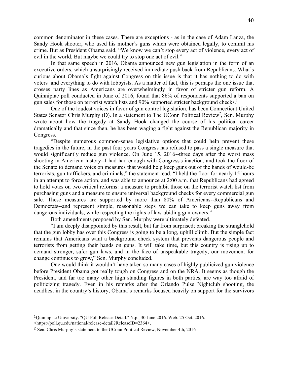common denominator in these cases. There are exceptions - as in the case of Adam Lanza, the Sandy Hook shooter, who used his mother's guns which were obtained legally, to commit his crime. But as President Obama said, "We know we can't stop every act of violence, every act of evil in the world. But maybe we could try to stop one act of evil."

 In that same speech in 2016, Obama announced new gun legislation in the form of an curious about Obama's fight against Congress on this issue is that it has nothing to do with voters and everything to do with lobbyists. As a matter of fact, this is perhaps the one issue that crosses party lines as Americans are overwhelmingly in favor of stricter gun reform. A Quinnipiac poll conducted in June of 2016, found that 86% of respondents supported a ban on executive orders, which unsurprisingly received immediate push back from Republicans. What's gun sales for those on terrorist watch lists and 90% supported stricter background checks.<sup>1</sup>

 One of the loudest voices in favor of gun control legislation, has been Connecticut United States Senator Chris Murphy (D). In a statement to The UConn Political Review<sup>2</sup>, Sen. Murphy wrote about how the tragedy at Sandy Hook changed the course of his political career dramatically and that since then, he has been waging a fight against the Republican majority in Congress.

 "Despite numerous common-sense legislative options that could help prevent these tragedies in the future, in the past four years Congress has refused to pass a single measure that would significantly reduce gun violence. On June 15, 2016--three days after the worst mass shooting in American history--I had had enough with Congress's inaction, and took the floor of the Senate to demand votes on measures that would help keep guns out of the hands of would-be terrorists, gun traffickers, and criminals," the statement read. "I held the floor for nearly 15 hours in an attempt to force action, and was able to announce at 2:00 a.m. that Republicans had agreed to hold votes on two critical reforms: a measure to prohibit those on the terrorist watch list from purchasing guns and a measure to ensure universal background checks for every commercial gun sale. These measures are supported by more than 80% of Americans--Republicans and Democrats--and represent simple, reasonable steps we can take to keep guns away from dangerous individuals, while respecting the rights of law-abiding gun owners."

Both amendments proposed by Sen. Murphy were ultimately defeated.

 "I am deeply disappointed by this result, but far from surprised; breaking the stranglehold that the gun lobby has over this Congress is going to be a long, uphill climb. But the simple fact remains that Americans want a background check system that prevents dangerous people and terrorists from getting their hands on guns. It will take time, but this country is rising up to demand stronger, safer gun laws, and in the face of unspeakable tragedy, our movement for change continues to grow," Sen. Murphy concluded.

 before President Obama got really tough on Congress and on the NRA. It seems as though the politicizing tragedy. Even in his remarks after the Orlando Pulse Nightclub shooting, the deadliest in the country's history, Obama's remarks focused heavily on support for the survivors One would think it wouldn't have taken so many cases of highly publicized gun violence President, and far too many other high standing figures in both parties, are way too afraid of

<sup>&</sup>lt;sup>1</sup>Quinnipiac University. "QU Poll Release Detail." N.p., 30 June 2016. Web. 25 Oct. 2016. <https://poll.qu.edu/national/release-detail?ReleaseID=2364>.

<sup>&</sup>lt;sup>2</sup> Sen. Chris Murphy's statement to the UConn Political Review, November 4th, 2016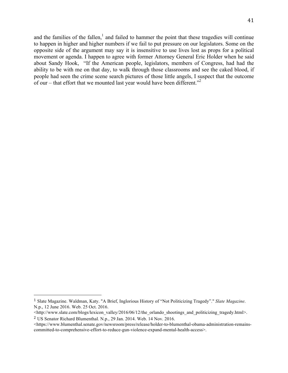and the families of the fallen, $<sup>1</sup>$  and failed to hammer the point that these tragedies will continue</sup> to happen in higher and higher numbers if we fail to put pressure on our legislators. Some on the opposite side of the argument may say it is insensitive to use lives lost as props for a political movement or agenda. I happen to agree with former Attorney General Eric Holder when he said about Sandy Hook, "If the American people, legislators, members of Congress, had had the ability to be with me on that day, to walk through those classrooms and see the caked blood, if people had seen the crime scene search pictures of those little angels, I suspect that the outcome of our – that effort that we mounted last year would have been different.<sup> $2$ </sup>

 <sup>1</sup> Slate Magazine. Waldman, Katy. "A Brief, Inglorious History of "Not Politicizing Tragedy"." *Slate Magazine*. N.p., 12 June 2016. Web. 25 Oct. 2016.

<sup>&</sup>lt;sup>2</sup> US Senator Richard Blumenthal. N.p., 29 Jan. 2014. Web. 14 Nov. 2016. <http://www.slate.com/blogs/lexicon\_valley/2016/06/12/the\_orlando\_shootings\_and\_politicizing\_tragedy.html>.

<sup>&</sup>lt;https://www.blumenthal.senate.gov/newsroom/press/release/holder-to-blumenthal-obama-administration-remainscommitted-to-comprehensive-effort-to-reduce-gun-violence-expand-mental-health-access>.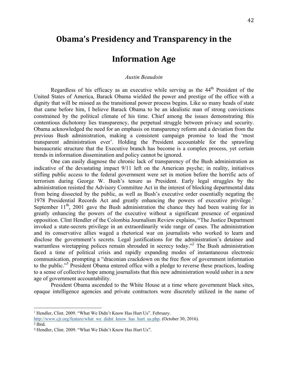# **Obama's Presidency and Transparency in the**

### **Information Age**

#### *Austin Beaudoin*

 United States of America, Barack Obama wielded the power and prestige of the office with a dignity that will be missed as the transitional power process begins. Like so many heads of state that came before him, I believe Barack Obama to be an idealistic man of strong convictions constrained by the political climate of his time. Chief among the issues demonstrating this contentious dichotomy lies transparency, the perpetual struggle between privacy and security. Obama acknowledged the need for an emphasis on transparency reform and a deviation from the previous Bush administration, making a consistent campaign promise to lead the 'most transparent administration ever'. Holding the President accountable for the sprawling bureaucratic structure that the Executive branch has become is a complex process, yet certain Regardless of his efficacy as an executive while serving as the  $44<sup>th</sup>$  President of the trends in information dissemination and policy cannot be ignored.

 indicative of the devastating impact 9/11 left on the American psyche; in reality, initiatives stifling public access to the federal government were set in motion before the horrific acts of terrorism during George W. Bush's tenure as President. Early legal struggles by the administration resisted the Advisory Committee Act in the interest of blocking departmental data from being dissected by the public, as well as Bush's executive order essentially negating the 1978 Presidential Records Act and greatly enhancing the powers of executive privilege.<sup>1</sup> September  $11<sup>th</sup>$ , 2001 gave the Bush administration the chance they had been waiting for in greatly enhancing the powers of the executive without a significant presence of organized opposition. Clint Hendler of the Colombia Journalism Review explains, "The Justice Department invoked a state-secrets privilege in an extraordinarily wide range of cases. The administration and its conservative allies waged a rhetorical war on journalists who worked to learn and disclose the government's secrets. Legal justifications for the administration's detainee and warrantless wiretapping polices remain shrouded in secrecy today."<sup>2</sup> The Bush administration faced a time of political crisis and rapidly expanding modes of instantaneous electronic communication, prompting a "draconian crackdown on the free flow of government information to the public."<sup>3</sup> President Obama entered office with a pledge to reverse these practices, leading to a sense of collective hope among journalists that this new administration would usher in a new One can easily diagnose the chronic lack of transparency of the Bush administration as age of government accountability.

 opaque intelligence agencies and private contractors were discretely utilized in the name of President Obama ascended to the White House at a time where government black sites,

<sup>&</sup>lt;sup>1</sup> Hendler, Clint. 2009. "What We Didn't Know Has Hurt Us". February.

 <sup>2</sup> Ibid. http://www.cjr.org/feature/what\_we\_didnt\_know\_has\_hurt\_us.php. (October 30, 2016).

 <sup>3</sup> Hendler, Clint. 2009. "What We Didn't Know Has Hurt Us".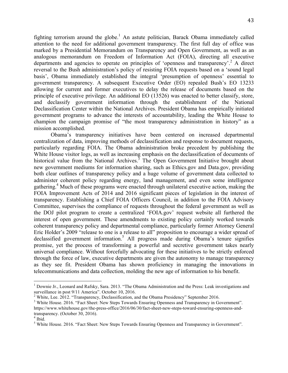fighting terrorism around the globe.<sup>1</sup> An astute politician, Barack Obama immediately called attention to the need for additional government transparency. The first full day of office was marked by a Presidential Memorandum on Transparency and Open Government, as well as an analogous memorandum on Freedom of Information Act (FOIA), directing all executive departments and agencies to operate on principles of 'openness and transparency'.<sup>2</sup> A direct reversal to the Bush administration's policy of resisting FOIA requests based on a 'sound legal basis', Obama immediately established the integral 'presumption of openness' essential to government transparency. A subsequent Executive Order (EO) repealed Bush's EO 13233 allowing for current and former executives to delay the release of documents based on the principle of executive privilege. An additional EO (13526) was enacted to better classify, store, and declassify government information through the establishment of the National Declassification Center within the National Archives. President Obama has empirically initiated government programs to advance the interests of accountability, leading the White House to champion the campaign promise of "the most transparency administration in history" as a mission accomplished.

 Obama's transparency initiatives have been centered on increased departmental centralization of data, improving methods of declassification and response to document requests, particularly regarding FOIA. The Obama administration broke precedent by publishing the White House visitor logs, as well as increasing emphasis on the declassification of documents of historical value from the National Archives.<sup>3</sup> The Open Government Initiative brought about new government mediums for information sharing, such as Ethics.gov and Data.gov, providing both clear outlines of transparency policy and a huge volume of government data collected to administer coherent policy regarding energy, land management, and even some intelligence gathering.4 Much of these programs were enacted through unilateral executive action, making the FOIA Improvement Acts of 2014 and 2016 significant pieces of legislation in the interest of transparency. Establishing a Chief FOIA Officers Council, in addition to the FOIA Advisory Committee, supervises the compliance of requests throughout the federal government as well as the DOJ pilot program to create a centralized 'FOIA.gov' request website all furthered the interest of open government. These amendments to existing policy certainly worked towards Eric Holder's 2009 "release to one is a release to all" proposition to encourage a wider spread of declassified government information.<sup>5</sup> All progress made during Obama's tenure signifies promise, yet the process of transforming a powerful and secretive government takes nearly universal compliance. Without forcefully advocating for these initiatives to be strictly enforced through the force of law, executive departments are given the autonomy to manage transparency as they see fit. President Obama has shown proficiency in managing the innovations in coherent transparency policy and departmental compliance, particularly former Attorney General telecommunications and data collection, molding the new age of information to his benefit.

<sup>&</sup>lt;sup>[1](#page-43-0)</sup> Downie Jr., Leonard and Rafsky, Sara. 2013. "The Obama Administration and the Press: Leak investigations and surveillance in post 9/11 America". October 10, 2016.

<sup>&</sup>lt;sup>2</sup> White, Lee. 2012. "Transparency, Declassification, and the Obama Presidency" September 2016.

<sup>&</sup>lt;sup>3</sup> White House. 2016. "Fact Sheet: New Steps Towards Ensuring Openness and Transparency in Government". https://www.whitehouse.gov/the-press-office/2016/06/30/fact-sheet-new-steps-toward-ensuring-openness-andtransparency. (October 30, 2016).

 $<sup>4</sup>$  Ibid.</sup>

 $<sup>5</sup>$  White House. 2016. "Fact Sheet: New Steps Towards Ensuring Openness and Transparency in Government".</sup>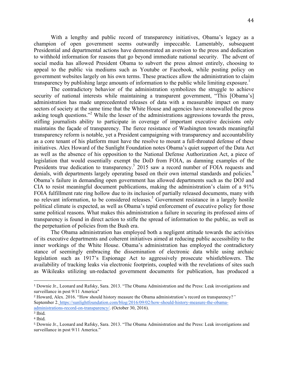<span id="page-43-0"></span> champion of open government seems outwardly impeccable. Lamentably, subsequent Presidential and departmental actions have demonstrated an aversion to the press and dedication to withhold information for reasons that go beyond immediate national security. The advent of social media has allowed President Obama to subvert the press almost entirely, choosing to appeal to the public via mediums such as Youtube or Facebook, while posting policy on government websites largely on his own terms. These practices allow the administration to claim With a lengthy and public record of transparency initiatives, Obama's legacy as a transparency by publishing large amounts of information to the public while limiting exposure.<sup>1</sup>

 The contradictory behavior of the administration symbolizes the struggle to achieve security of national interests while maintaining a transparent government, "This [Obama's] administration has made unprecedented releases of data with a measurable impact on many sectors of society at the same time that the White House and agencies have stonewalled the press asking tough questions."<sup>2</sup> While the lesser of the administrations aggressions towards the press, stifling journalists ability to participate in coverage of important executive decisions only maintains the façade of transparency. The fierce resistance of Washington towards meaningful transparency reform is notable, yet a President campaigning with transparency and accountability as a core tenant of his platform must have the resolve to mount a full-throated defense of these initiatives. Alex Howard of the Sunlight Foundation notes Obama's quiet support of the Data Act as well as the absence of his opposition to the National Defense Authorization Act, a piece of legislation that would essentially exempt the DoD from FOIA, as damning examples of the Presidents true dedication to transparency.<sup>3</sup> 2015 saw a record number of FOIA requests and denials, with departments largely operating based on their own internal standards and policies.<sup>4</sup> Obama's failure in demanding open government has allowed departments such as the DOJ and CIA to resist meaningful document publications, making the administration's claim of a 91% FOIA fulfillment rate ring hollow due to its inclusion of partially released documents, many with no relevant information, to be considered releases.<sup>5</sup> Government resistance in a largely hostile political climate is expected, as well as Obama's tepid enforcement of executive policy for those same political reasons. What makes this administration a failure in securing its professed aims of transparency is found in direct action to stifle the spread of information to the public, as well as the perpetuation of policies from the Bush era.

 The Obama administration has employed both a negligent attitude towards the activities of its executive departments and coherent initiatives aimed at reducing public accessibility to the inner workings of the White House. Obama's administration has employed the contradictory stance of seemingly embracing the dissemination of electronic data while using archaic legislation such as 1917's Espionage Act to aggressively prosecute whistleblowers. The availability of tracking leaks via electronic footprints, coupled with the revelations of sites such as Wikileaks utilizing un-redacted government documents for publication, has produced a

 <sup>1</sup> Downie Jr., Leonard and Rafsky, Sara. 2013. "The Obama Administration and the Press: Leak investigations and surveillance in post 9/11 America"

 <sup>2</sup> Howard, Alex. 2016. "How should history measure the Obama administration's record on transparency?*"*  September 2. https://sunlightfoundation.com/blog/2016/09/02/how-should-history-measure-the-obamaadministrations-record-on-transparency/. (October 30, 2016).

 <sup>3</sup> Ibid.

 <sup>4</sup> Ibid.

 <sup>5</sup> Downie Jr., Leonard and Rafsky, Sara. 2013. "The Obama Administration and the Press: Leak investigations and surveillance in post 9/11 America."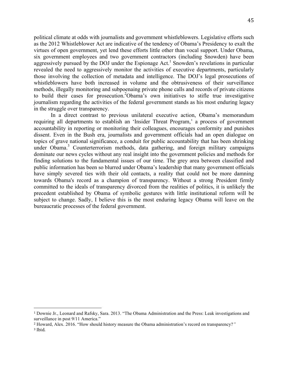political climate at odds with journalists and government whistleblowers. Legislative efforts such as the 2012 Whistleblower Act are indicative of the tendency of Obama's Presidency to exalt the virtues of open government, yet lend these efforts little other than vocal support. Under Obama, six government employees and two government contractors (including Snowden) have been aggressively pursued by the DOJ under the Espionage [Act.](#page-45-0)<sup>1</sup> Snowden's revelations in particular revealed the need to aggressively monitor the activities of executive departments, particularly those involving the collection of metadata and intelligence. The DOJ's legal prosecutions of whistleblowers have both increased in volume and the obtrusiveness of their surveillance methods, illegally monitoring and subpoenaing private phone calls and records of private citizens to build their cases for prosecution.<sup>2</sup>Obama's own initiatives to stifle true investigative journalism regarding the activities of the federal government stands as his most enduring legacy in the struggle over transparency.

 In a direct contrast to previous unilateral executive action, Obama's memorandum requiring all departments to establish an 'Insider Threat Program,' a process of government dissent. Even in the Bush era, journalists and government officials had an open dialogue on topics of grave national significance, a conduit for public accountability that has been shrinking dominate our news cycles without any real insight into the government policies and methods for finding solutions to the fundamental issues of our time. The grey area between classified and public information has been so blurred under Obama's leadership that many government officials have simply severed ties with their old contacts, a reality that could not be more damning towards Obama's record as a champion of transparency. Without a strong President firmly committed to the ideals of transparency divorced from the realities of politics, it is unlikely the precedent established by Obama of symbolic gestures with little institutional reform will be subject to change. Sadly, I believe this is the most enduring legacy Obama will leave on the accountability in reporting or monitoring their colleagues, encourages conformity and punishes under Obama. $3$  Counterterrorism methods, data gathering, and foreign military campaigns bureaucratic processes of the federal government.

 <sup>1</sup> Downie Jr., Leonard and Rafsky, Sara. 2013. "The Obama Administration and the Press: Leak investigations and surveillance in post 9/11 America."

 <sup>2</sup> Howard, Alex. 2016. "How should history measure the Obama administration's record on transparency?*"* <sup>3</sup> Ibid.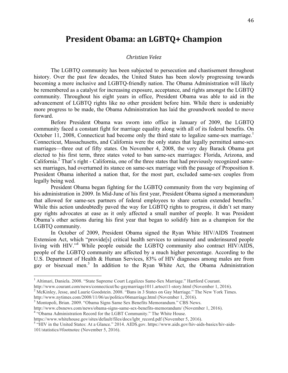### <span id="page-45-0"></span>**President Obama: an LGBTQ+ Champion**

### *Christian Velez*

 The LGBTQ community has been subjected to persecution and chastisement throughout history. Over the past few decades, the United States has been slowly progressing towards becoming a more inclusive and LGBTQ-friendly nation. The Obama Administration will likely be remembered as a catalyst for increasing exposure, acceptance, and rights amongst the LGBTQ community. Throughout his eight years in office, President Obama was able to aid in the advancement of LGBTQ rights like no other president before him. While there is undeniably more progress to be made, the Obama Administration has laid the groundwork needed to move forward.

 Before President Obama was sworn into office in January of 2009, the LGBTQ community faced a constant fight for marriage equality along with all of its federal benefits. On October 11, 2008, Connecticut had become only the third state to legalize same-sex marriage.<sup>1</sup> Connecticut, Massachusetts, and California were the only states that legally permitted same-sex marriages—three out of fifty states. On November 4, 2008, the very day Barack Obama got elected to his first term, three states voted to ban same-sex marriages: Florida, Arizona, and California.<sup>2</sup> That's right - California, one of the three states that had previously recognized same- sex marriages, had overturned its stance on same-sex marriage with the passage of Proposition 8. President Obama inherited a nation that, for the most part, excluded same-sex couples from legally being wed.

 President Obama began fighting for the LGBTQ community from the very beginning of his administration in 2009. In Mid-June of his first year, President Obama signed a memorandum that allowed for same-sex partners of federal employees to share certain extended benefits.<sup>3</sup> While this action undoubtedly paved the way for LGBTQ rights to progress, it didn't set many gay rights advocates at ease as it only affected a small number of people. It was President Obama's other actions during his first year that began to solidify him as a champion for the LGBTQ community.

 In October of 2009, President Obama signed the Ryan White HIV/AIDS Treatment living with HIV."4 While people outside the LGBTQ community also contract HIV/AIDS, people of the LGBTQ community are affected by a much higher percentage. According to the U.S. Department of Health & Human Services, 83% of HIV diagnoses among males are from gay or bisexual men.<sup>5</sup> In addition to the Ryan White Act, the Obama Administration Extension Act, which "provide[s] critical health services to uninsured and underinsured people

<sup>&</sup>lt;sup>1</sup> Altimari, Daniela. 2008. "State Supreme Court Legalizes Same-Sex Marriage." Hartford Courant.

http://www.courant.com/news/connecticut/hc-gaymarriage1011.artoct11-story.html (November 1, 2016).

http://www.courant.com/news/connecticut/hc-gaymarriage1011.artoct11-story.html (November 1, 2016).<br><sup>2</sup> McKinley, Jesse, and Laurie Goodstein. 2008. "Bans in 3 States on Gay Marriage." The New York Times.

 http://www.nytimes.com/2008/11/06/us/politics/06marriage.html (November 1, 2016).

<sup>&</sup>lt;sup>3</sup> Montopoli, Brian. 2009. "Obama Signs Same Sex Benefits Memorandum." CBS News.

http://www.cbsnews.com/news/obama-signs-same-sex-benefits-memorandum/ (November 1, 2016). http://www.cbsnews.com/news/obama-signs-same-sex-benefits-memorandum/ (November 1, 2016).<br><sup>4</sup> "Obama Administration Record for the LGBT Community." The White House.

https://www.whitehouse.gov/sites/default/files/docs/lgbt\_record.pdf (November 5, 2016).

https://www.whitehouse.gov/sites/default/files/docs/lgbt\_record.pdf (November 5, 2016).<br><sup>5</sup> "HIV in the United States: At a Glance." 2014. AIDS.gov. https://www.aids.gov/hiv-aids-basics/hiv-aids-101/statistics/#footnotec (November 5, 2016).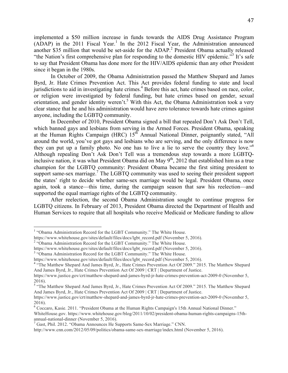implemented a \$50 million increase in funds towards the AIDS Drug Assistance Program  $(ADAP)$  in the 2011 Fiscal Year.<sup>1</sup> In the 2012 Fiscal Year, the Administration announced another \$35 million that would be set-aside for the  $ADAP$ .<sup>2</sup> President Obama actually released "the Nation's first comprehensive plan for responding to the domestic HIV epidemic."<sup>3</sup> It's safe to say that President Obama has done more for the HIV/AIDS epidemic than any other President since it began in the 1980s.

 In October of 2009, the Obama Administration passed the Matthew Shepard and James Byrd, Jr. Hate Crimes Prevention Act. This Act provides federal funding to state and local jurisdictions to aid in investigating hate crimes. 4 Before this act, hate crimes based on race, color, or religion were investigated by federal funding, but hate crimes based on gender, sexual orientation, and gender identity weren't.<sup>5</sup> With this Act, the Obama Administration took a very clear stance that he and his administration would have zero tolerance towards hate crimes against anyone, including the LGBTQ community.

 In December of 2010, President Obama signed a bill that repealed Don't Ask Don't Tell, which banned gays and lesbians from serving in the Armed Forces. President Obama, speaking at the Human Rights Campaign (HRC)  $15^{t}$  Annual National Dinner, poignantly stated, "All around the world, you've got gays and lesbians who are serving, and the only difference is now they can put up a family photo. No one has to live a lie to serve the country they love."6 Although repealing Don't Ask Don't Tell was a tremendous step towards a more LGBTQinclusive nation, it was what President Obama did on May  $9<sup>th</sup>$ , 2012 that established him as a true champion for the LGBTQ community: President Obama became the first sitting president to support same-sex marriage.<sup>7</sup> The LGBTQ community was used to seeing their president support the states' right to decide whether same-sex marriage would be legal. President Obama, once again, took a stance—this time, during the campaign season that saw his reelection—and supported the equal marriage rights of the LGBTQ community.

 After reelection, the second Obama Administration sought to continue progress for LGBTQ citizens. In February of 2013, President Obama directed the Department of Health and Human Services to require that all hospitals who receive Medicaid or Medicare funding to allow

<sup>&</sup>lt;sup>1</sup> "Obama Administration Record for the LGBT Community." The White House.

https://www.whitehouse.gov/sites/default/files/docs/lgbt\_record.pdf (November 5, 2016). https://www.whitehouse.gov/sites/default/files/docs/lgbt\_record.pdf (November 5, 2016).<br><sup>2</sup> "Obama Administration Record for the LGBT Community." The White House.

 https://www.whitehouse.gov/sites/default/files/docs/lgbt\_record.pdf (November 5, 2016).

<sup>&</sup>lt;sup>3</sup> "Obama Administration Record for the LGBT Community." The White House.

https://www.whitehouse.gov/sites/default/files/docs/lgbt\_record.pdf (November 5, 2016).

<sup>&</sup>lt;sup>4 "</sup>The Matthew Shepard And James Byrd, Jr., Hate Crimes Prevention Act Of 2009." 2015. The Matthew Shepard And James Byrd, Jr., Hate Crimes Prevention Act Of 2009 | CRT | Department of Justice.

 https://www.justice.gov/crt/matthew-shepard-and-james-byrd-jr-hate-crimes-prevention-act-2009-0 (November 5, 2016).

<sup>&</sup>lt;sup>5</sup> "The Matthew Shepard And James Byrd, Jr., Hate Crimes Prevention Act Of 2009." 2015. The Matthew Shepard And James Byrd, Jr., Hate Crimes Prevention Act Of 2009 | CRT | Department of Justice.

 https://www.justice.gov/crt/matthew-shepard-and-james-byrd-jr-hate-crimes-prevention-act-2009-0 (November 5, 2016).

<sup>&</sup>lt;sup>6</sup> Coccaro, Kasie. 2011. "President Obama at the Human Rights Campaign's 15th Annual National Dinner." annual-national-dinner (November 5, 2016). annual-national-dinner (November 5, 2016).<br><sup>7</sup> Gast, Phil. 2012. "Obama Announces He Supports Same-Sex Marriage." CNN. WhiteHouse.gov. https://www.whitehouse.gov/blog/2011/10/02/president-obama-human-rights-campaigns-15th-

 http://www.cnn.com/2012/05/09/politics/obama-same-sex-marriage/index.html (November 5, 2016).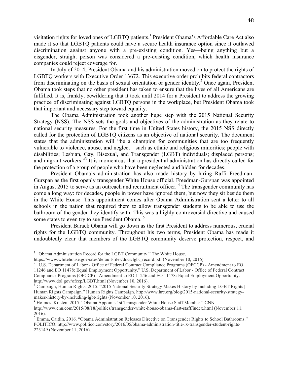visitation rights for loved ones of LGBTQ patients.<sup>1</sup> President Obama's Affordable Care Act also made it so that LGBTQ patients could have a secure health insurance option since it outlawed discrimination against anyone with a pre-existing condition. Yes—being anything but a cisgender, straight person was considered a pre-existing condition, which health insurance companies could reject coverage for.

 In July of 2014, President Obama and his administration moved on to protect the rights of LGBTQ workers with Executive Order 13672. This executive order prohibits federal contractors from discriminating on the basis of sexual orientation or gender identity.<sup>2</sup> Once again, President Obama took steps that no other president has taken to ensure that the lives of all Americans are fulfilled. It is, frankly, bewildering that it took until 2014 for a President to address the growing practice of discriminating against LGBTQ persons in the workplace, but President Obama took that important and necessary step toward equality.

 Strategy (NSS). The NSS sets the goals and objectives of the administration as they relate to national security measures. For the first time in United States history, the 2015 NSS directly called for the protection of LGBTQ citizens as an objective of national security. The document states that the administration will "be a champion for communities that are too frequently vulnerable to violence, abuse, and neglect—such as ethnic and religious minorities; people with and migrant workers."<sup>3</sup> It is momentous that a presidential administration has directly called for The Obama Administration took another huge step with the 2015 National Security disabilities; Lesbian, Gay, Bisexual, and Transgender (LGBT) individuals; displaced persons; the protection of a group of people who have been neglected and hidden for decades.

 President Obama's administration has also made history by hiring Raffi Freedman- Gurspan as the first openly transgender White House official. Freedman-Gurspan was appointed in August 2015 to serve as an outreach and recruitment officer.  $4$  The transgender community has come a long way: for decades, people in power have ignored them, but now they sit beside them in the White House. This appointment comes after Obama Administration sent a letter to all schools in the nation that required them to allow transgender students to be able to use the bathroom of the gender they identify with. This was a highly controversial directive and caused some states to even try to sue President Obama.<sup>5</sup>

 President Barack Obama will go down as the first President to address numerous, crucial rights for the LGBTQ community. Throughout his two terms, President Obama has made it undoubtedly clear that members of the LGBTQ community deserve protection, respect, and

<sup>&</sup>lt;sup>1</sup> "Obama Administration Record for the LGBT Community." The White House.

 https://www.whitehouse.gov/sites/default/files/docs/lgbt\_record.pdf (November 10, 2016).

 $2 \cdot \text{U.S. Department of Labor - Office of Federal Contract Compliance Programs (OFCCP) - Amendment to EO}$  11246 and EO 11478: Equal Employment Opportunity." U.S. Department of Labor - Office of Federal Contract Compliance Programs (OFCCP) - Amendment to EO 11246 and EO 11478: Equal Employment Opportunity. http://www.dol.gov/ofccp/LGBT.html (November 10, 2016).

 $3 \text{ Campaign}$ , Human Rights. 2015. "2015 National Security Strategy Makes History by Including LGBT Rights | Human Rights Campaign." Human Rights Campaign. http://www.hrc.org/blog/2015-national-security-strategymakes-history-by-including-lgbt-rights (November 10, 2016).<br><sup>4</sup> Holmes, Kristen. 2015. "Obama Appoints 1st Transgender White House Staff Member." CNN.

 http://www.cnn.com/2015/08/18/politics/transgender-white-house-obama-first-staff/index.html (November 11, 2016).

<sup>&</sup>lt;sup>5</sup> Emma, Caitlin. 2016. "Obama Administration Releases Directive on Transgender Rights to School Bathrooms." 223149 (November 11, 2016).POLITICO. http://www.politico.com/story/2016/05/obama-administration-title-ix-transgender-student-rights-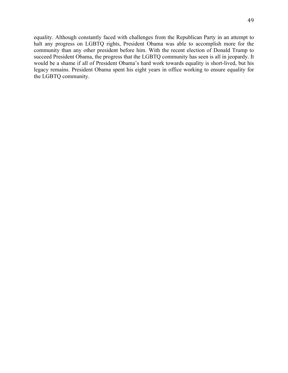equality. Although constantly faced with challenges from the Republican Party in an attempt to halt any progress on LGBTQ rights, President Obama was able to accomplish more for the community than any other president before him. With the recent election of Donald Trump to succeed President Obama, the progress that the LGBTQ community has seen is all in jeopardy. It would be a shame if all of President Obama's hard work towards equality is short-lived, but his legacy remains. President Obama spent his eight years in office working to ensure equality for the LGBTQ community.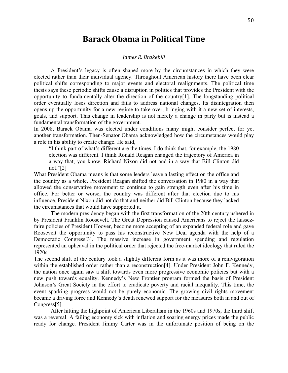## **Barack Obama in Political Time**

### *James R. Brakebill*

 A President's legacy is often shaped more by the circumstances in which they were elected rather than their individual agency. Throughout American history there have been clear political shifts corresponding to major events and electoral realignments. The political time thesis says these periodic shifts cause a disruption in politics that provides the President with the opportunity to fundamentally alter the direction of the country[1]. The longstanding political order eventually loses direction and fails to address national changes. Its disintegration then opens up the opportunity for a new regime to take over, bringing with it a new set of interests, goals, and support. This change in leadership is not merely a change in party but is instead a fundamental transformation of the government.

 In 2008, Barack Obama was elected under conditions many might consider perfect for yet another transformation. Then-Senator Obama acknowledged how the circumstances would play a role in his ability to create change. He said,

 "I think part of what's different are the times. I do think that, for example, the 1980 election was different. I think Ronald Reagan changed the trajectory of America in a way that, you know, Richard Nixon did not and in a way that Bill Clinton did not."[2]

 What President Obama means is that some leaders leave a lasting effect on the office and the country as a whole. President Reagan shifted the conversation in 1980 in a way that allowed the conservative movement to continue to gain strength even after his time in office. For better or worse, the country was different after that election due to his influence. President Nixon did not do that and neither did Bill Clinton because they lacked the circumstances that would have supported it.

 by President Franklin Roosevelt. The Great Depression caused Americans to reject the laissez- faire policies of President Hoover, become more accepting of an expanded federal role and gave Roosevelt the opportunity to pass his reconstructive New Deal agenda with the help of a Democratic Congress[3]. The massive increase in government spending and regulation represented an upheaval in the political order that rejected the free-market ideology that ruled the The modern presidency began with the first transformation of the 20th century ushered in 1920s.

 The second shift of the century took a slightly different form as it was more of a reinvigoration the nation once again saw a shift towards even more progressive economic policies but with a new push towards equality. Kennedy's New Frontier program formed the basis of President Johnson's Great Society in the effort to eradicate poverty and racial inequality. This time, the event sparking progress would not be purely economic. The growing civil rights movement became a driving force and Kennedy's death renewed support for the measures both in and out of within the established order rather than a reconstruction[4]. Under President John F. Kennedy, Congress[5].

 was a reversal. A failing economy sick with inflation and soaring energy prices made the public ready for change. President Jimmy Carter was in the unfortunate position of being on the After hitting the highpoint of American Liberalism in the 1960s and 1970s, the third shift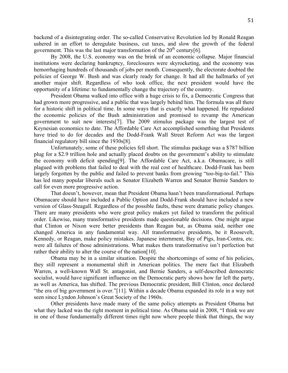backend of a disintegrating order. The so-called Conservative Revolution led by Ronald Reagan ushered in an effort to deregulate business, cut taxes, and slow the growth of the federal government. This was the last major transformation of the  $20<sup>th</sup>$  century[6].

 institutions were declaring bankruptcy, foreclosures were skyrocketing, and the economy was hemorrhaging hundreds of thousands of jobs per month. Consequently, the electorate doubted the policies of George W. Bush and was clearly ready for change. It had all the hallmarks of yet another major shift. Regardless of who took office, the next president would have the By 2008, the U.S. economy was on the brink of an economic collapse. Major financial opportunity of a lifetime: to fundamentally change the trajectory of the country.

 had grown more progressive, and a public that was largely behind him. The formula was all there for a historic shift in political time. In some ways that is exactly what happened. He repudiated the economic policies of the Bush administration and promised to revamp the American government to suit new interests[7]. The 2009 stimulus package was the largest test of Keynesian economics to date. The Affordable Care Act accomplished something that Presidents have tried to do for decades and the Dodd-Frank Wall Street Reform Act was the largest President Obama walked into office with a huge crisis to fix, a Democratic Congress that financial regulatory bill since the 1930s[8].

 plug for a \$2.9 trillion hole and actually placed doubts on the government's ability to stimulate the economy with deficit spending[9]. The Affordable Care Act, a.k.a. Obamacare, is still plagued with problems that failed to deal with the real cost of healthcare. Dodd-Frank has been largely forgotten by the public and failed to prevent banks from growing "too-big-to-fail." This has led many popular liberals such as Senator Elizabeth Warren and Senator Bernie Sanders to Unfortunately, some of these policies fell short. The stimulus package was a \$787 billion call for even more progressive action.

 Obamacare should have included a Public Option and Dodd-Frank should have included a new version of Glass-Steagall. Regardless of the possible faults, these were dramatic policy changes. There are many presidents who were great policy makers yet failed to transform the political order. Likewise, many transformative presidents made questionable decisions. One might argue that Clinton or Nixon were better presidents than Reagan but, as Obama said, neither one changed America in any fundamental way. All transformative presidents, be it Roosevelt, were all failures of those administrations. What makes them transformative isn't perfection but That doesn't, however, mean that President Obama hasn't been transformational. Perhaps Kennedy, or Reagan, make policy mistakes. Japanese internment, Bay of Pigs, Iran-Contra, etc. rather their ability to alter the course of the nation [10].

 they still represent a monumental shift in American politics. The mere fact that Elizabeth Warren, a well-known Wall St. antagonist, and Bernie Sanders, a self-described democratic socialist, would have significant influence on the Democratic party shows how far left the party, as well as America, has shifted. The previous Democratic president, Bill Clinton, once declared "the era of big government is over."[11]. Within a decade Obama expanded its role in a way not Obama may be in a similar situation. Despite the shortcomings of some of his policies, seen since Lyndon Johnson's Great Society of the 1960s.

 what they lacked was the right moment in political time. As Obama said in 2008, "I think we are in one of those fundamentally different times right now where people think that things, the way Other presidents have made many of the same policy attempts as President Obama but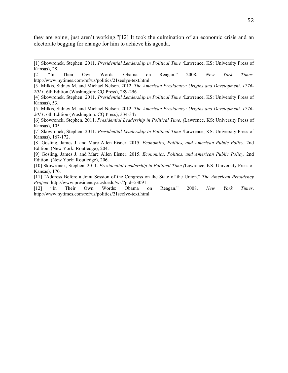they are going, just aren't working."[12] It took the culmination of an economic crisis and an electorate begging for change for him to achieve his agenda.

Own [2] "In Their Own Words: Obama on Reagan." 2008. *New York Times.*  http://www.nytimes.com/ref/us/politics/21seelye-text.html

 [3] Milkis, Sidney M. and Michael Nelson. 2012. *The American Presidency: Origins and Development, 1776- 2011*. 6th Edition (Washington: CQ Press), 289-296

 [4] Skowronek, Stephen. 2011. *Presidential Leadership in Political Time (*Lawrence, KS: University Press of Kansas), 53.

 [5] Milkis, Sidney M. and Michael Nelson. 2012. *The American Presidency: Origins and Development, 1776- 2011*. 6th Edition (Washington: CQ Press), 334-347

 [6] Skowronek, Stephen. 2011. *Presidential Leadership in Political Time*, *(*Lawrence, KS: University Press of Kansas), 105.

 [7] Skowronek, Stephen. 2011. *Presidential Leadership in Political Time (*Lawrence, KS: University Press of Kansas), 167-172.

 [8] Gosling, James J. and Marc Allen Eisner. 2015. *Economics, Politics, and American Public Policy.* 2nd Edition. (New York: Routledge), 204.

 [9] Gosling, James J. and Marc Allen Eisner. 2015. *Economics, Politics, and American Public Policy.* 2nd Edition. (New York: Routledge), 206.

 [10] Skowronek, Stephen. 2011. *Presidential Leadership in Political Time (*Lawrence, KS: University Press of Kansas), 170.

 [11] "Address Before a Joint Session of the Congress on the State of the Union." *The American Presidency Project*. http://www.presidency.ucsb.edu/ws/?pid=53091.

Own [12] "In Their Own Words: Obama on Reagan." 2008. *New York Times*. http://www.nytimes.com/ref/us/politics/21seelye-text.html

 [1] Skowronek, Stephen. 2011. *Presidential Leadership in Political Time (*Lawrence, KS: University Press of Kansas), 28.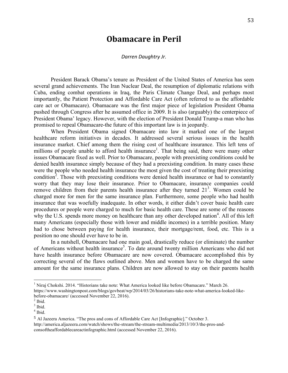### **Obamacare in Peril**

### *Darren Daughtry Jr.*

 President Barack Obama's tenure as President of the United States of America has seen several grand achievements. The Iran Nuclear Deal, the resumption of diplomatic relations with Cuba, ending combat operations in Iraq, the Paris Climate Change Deal, and perhaps most importantly, the Patient Protection and Affordable Care Act (often referred to as the affordable care act or Obamacare). Obamacare was the first major piece of legislation President Obama pushed through Congress after he assumed office in 2009. It is also (arguably) the centerpiece of President Obama' legacy. However, with the election of President Donald Trump-a man who has promised to repeal Obamacare-the future of this important law is in jeopardy.

 When President Obama signed Obamacare into law it marked one of the largest healthcare reform initiatives in decades. It addressed several serious issues in the health insurance market. Chief among them the rising cost of healthcare insurance. This left tens of millions of people unable to afford health insurance<sup>1</sup>. That being said, there were many other issues Obamacare fixed as well. Prior to Obamacare, people with preexisting conditions could be denied health insurance simply because of they had a preexisting condition. In many cases these were the people who needed health insurance the most given the cost of treating their preexisting condition<sup>2</sup>. Those with preexisting conditions were denied health insurance or had to constantly worry that they may lose their insurance. Prior to Obamacare, insurance companies could charged more for men for the same insurance plan. Furthermore, some people who had health insurance that was woefully inadequate. In other words, it either didn't cover basic health care procedures or people were charged to much for basic health care. These are some of the reasons why the U.S. spends more money on healthcare than any other developed nation<sup>4</sup>. All of this left many Americans (especially those with lower and middle incomes) in a terrible position. Many had to chose between paying for health insurance, their mortgage/rent, food, etc. This is a remove children from their parents health insurance after they turned  $21<sup>3</sup>$ . Women could be position no one should ever have to be in.

of Americans without health insurance<sup>5</sup>. To date around twenty million Americans who did not have health insurance before Obamacare are now covered. Obamacare accomplished this by correcting several of the flaws outlined above. Men and women have to be charged the same amount for the same insurance plans. Children are now allowed to stay on their parents health In a nutshell, Obamacare had one main goal, drastically reduce (or eliminate) the number

before-obamacare/ (accessed November 22, 2016).<br><sup>2</sup> Ibid.  $1$  Niraj Chokshi. 2014. "Historians take note: What America looked like before Obamacare." March 26. https://www.washingtonpost.com/blogs/govbeat/wp/2014/03/26/historians-take-note-what-america-looked-like-

 $<sup>2</sup>$  Ibid.</sup>

 $3$  Ibid.

 $^4$  Ibid.  $\,$ 

<sup>&</sup>lt;sup>5</sup> Al Jazeera America. "The pros and cons of Affordable Care Act [Infographic]." October 3. consoftheaffordablecareactinfographic.html (accessed November 22, 2016).http://america.aljazeera.com/watch/shows/the-stream/the-stream-multimedia/2013/10/3/the-pros-and-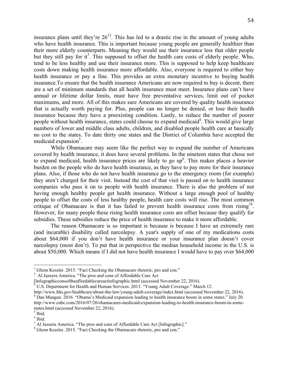54

insurance plans until they're  $26^{12}$ . This has led to a drastic rise in the amount of young adults who have health insurance. This is important because young people are generally healthier than their more elderly counterparts. Meaning they would use their insurance less that older people but they still pay for it<sup>3</sup>. This supposed to offset the health care costs of elderly people. Who, tend to be less healthy and use their insurance more. This is supposed to help keep healthcare costs down making health insurance more affordable. Also, everyone is required to either buy health insurance or pay a fine. This provides an extra monetary incentive to buying health insurance.To ensure that the health insurance Americans are now required to buy is decent, there are a set of minimum standards that all health insurance must meet. Insurance plans can't have annual or lifetime dollar limits, must have free preventative services, limit out of pocket maximums, and more. All of this makes sure Americans are covered by quality health insurance that is actually worth paying for. Plus, people can no longer be denied, or lose their health insurance because they have a preexisting condition. Lastly, to reduce the number of poorer people without health insurance, states could choose to expand medicaid<sup>4</sup>. This would give large numbers of lower and middle class adults, children, and disabled people health care at basically no cost to the states. To date thirty one states and the District of Columbia have accepted the medicaid expansion<sup>5</sup>.

 While Obamacare may seem like the perfect way to expand the number of Americans covered by health insurance, it does have several problems. In the nineteen states that chose not to expand medicaid, health insurance prices are likely to go  $up<sup>6</sup>$ . This makes places a heavier burden on the people who do have health insurance, as they have to pay more for their insurance plans. Also, if those who do not have health insurance go to the emergency room (for example) they aren't charged for their visit. Instead the cost of that visit is passed on to health insurance companies who pass it on to people with health insurance. There is also the problem of not having enough healthy people get health insurance. Without a large enough pool of healthy people to offset the costs of less healthy people, health care costs will rise. The most common critique of Obamacare is that it has failed to prevent health insurance costs from rising<sup>78</sup>. However, for many people these rising health insurance costs are offset because they qualify for subsidies. These subsidies reduce the price of health insurance to make it more affordable.

 (and incurable) disability called narcolepsy. A year's supply of one of my medications costs about \$64,000 if you don't have health insurance or your insurance plan doesn't cover narcolepsy (most don't). To put that in perspective the median household income in the U.S. is about \$50,000. Which means if I did not have health insurance I would have to pay over \$64,000 The reason Obamacare is so important is because is because I have an extremely rare

 $1$  Glenn Kessler. 2015. "Fact Checking the Obamacare rhetoric, pro and con."

<sup>&</sup>lt;sup>2</sup> Al Jazeera America. "The pros and cons of Affordable Care Act

<sup>[</sup>Infographicconsoftheaffordablecareactinfographic.html (accessed November 22, 2016).

 $3 \text{ U.S. Department for Health and Human Services. 2013. "Young Adult Coverage." March 12.}$ 

http://www.hhs.gov/healthcare/about-the-law/young-adult-coverage/index.html (accessed November 22, 2016).

http://www.hhs.gov/healthcare/about-the-law/young-adult-coverage/index.html (accessed November 22, 2016). 4 Dan Mangan. 2016. "Obama's Medicaid expansion leading to health insurance boom in some states." July 20. states.html (accessed November 22, 2016). http://www.cnbc.com/2016/07/20/obamacares-medicaid-expansion-leading-to-health-insurance-boom-in-some-

 $<sup>5</sup>$  Ibid.</sup>

 $^6$ Ibid.

 $^7$  Al Jazeera America. "The pros and cons of Affordable Care Act [Infographic]."

<sup>&</sup>lt;sup>8</sup> Glenn Kessler. 2015. "Fact Checking the Obamacare rhetoric, pro and con."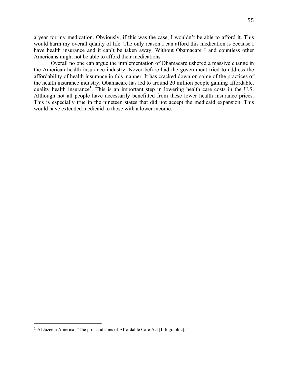a year for my medication. Obviously, if this was the case, I wouldn't be able to afford it. This would harm my overall quality of life. The only reason I can afford this medication is because I have health insurance and it can't be taken away. Without Obamacare I and countless other Americans might not be able to afford their medications.

 Overall no one can argue the implementation of Obamacare ushered a massive change in the American health insurance industry. Never before had the government tried to address the affordability of health insurance in this manner. It has cracked down on some of the practices of the health insurance industry. Obamacare has led to around 20 million people gaining affordable, quality health insurance<sup>1</sup>. This is an important step in lowering health care costs in the U.S. Although not all people have necessarily benefitted from these lower health insurance prices. This is especially true in the nineteen states that did not accept the medicaid expansion. This would have extended medicaid to those with a lower income.

<sup>&</sup>lt;sup>1</sup> Al Jazeera America. "The pros and cons of Affordable Care Act [Infographic]."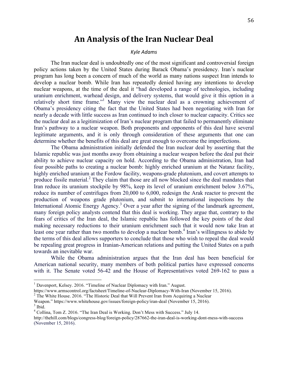# **An Analysis of the Iran Nuclear Deal**

#### *Kyle Adams*

 program has long been a concern of much of the world as many nations suspect Iran intends to develop a nuclear bomb. While Iran has repeatedly denied having any intentions to develop nuclear weapons, at the time of the deal it "had developed a range of technologies, including uranium enrichment, warhead design, and delivery systems, that would give it this option in a relatively short time frame."<sup>1</sup> Many view the nuclear deal as a crowning achievement of Obama's presidency citing the fact that the United States had been negotiating with Iran for nearly a decade with little success as Iran continued to inch closer to nuclear capacity. Critics see the nuclear deal as a legitimization of Iran's nuclear program that failed to permanently eliminate Iran's pathway to a nuclear weapon. Both proponents and opponents of this deal have several legitimate arguments, and it is only through consideration of these arguments that one can The Iran nuclear deal is undoubtedly one of the most significant and controversial foreign policy actions taken by the United States during Barack Obama's presidency. Iran's nuclear determine whether the benefits of this deal are great enough to overcome the imperfections.

 Islamic republic was just months away from obtaining a nuclear weapon before the deal put their ability to achieve nuclear capacity on hold. According to the Obama administration, Iran had four possible paths to creating a nuclear bomb: highly enriched uranium at the Natanz facility, highly enriched uranium at the Fordow facility, weapons-grade plutonium, and covert attempts to produce fissile material.<sup>2</sup> They claim that those are all now blocked since the deal mandates that Iran reduce its uranium stockpile by 98%, keep its level of uranium enrichment below 3.67%, reduce its number of centrifuges from 20,000 to 6,000, redesign the Arak reactor to prevent the production of weapons grade plutonium, and submit to international inspections by the International Atomic Energy Agency.<sup>3</sup> Over a year after the signing of the landmark agreement, many foreign policy analysts contend that this deal is working. They argue that, contrary to the fears of critics of the Iran deal, the Islamic republic has followed the key points of the deal making necessary reductions to their uranium enrichment such that it would now take Iran at least one year rather than two months to develop a nuclear bomb.<sup>4</sup> Iran's willingness to abide by the terms of this deal allows supporters to conclude that those who wish to repeal the deal would be repealing great progress in Iranian-American relations and putting the United States on a path The Obama administration initially defended the Iran nuclear deal by asserting that the towards an inevitable war.

 While the Obama administration argues that the Iran deal has been beneficial for American national security, many members of both political parties have expressed concerns with it. The Senate voted 56-42 and the House of Representatives voted 269-162 to pass a

https://www.armscontrol.org/factsheet/Timeline-of-Nuclear-Diplomacy-With-Iran (November 15, 2016).<br><sup>2</sup> The White House. 2016. "The Historic Deal that Will Prevent Iran from Acquiring a Nuclear

 $3$  Ibid.

 $<sup>1</sup>$  Davenport, Kelsey. 2016. "Timeline of Nuclear Diplomacy with Iran." August.</sup>

Weapon." https://www.whitehouse.gov/issues/foreign-policy/iran-deal (November 15, 2016).<br><sup>3</sup> Ibid.

<sup>&</sup>lt;sup>4</sup> Collina, Tom Z. 2016. "The Iran Deal is Working. Don't Mess with Success." July 14.

http://thehill.com/blogs/congress-blog/foreign-policy/287662-the-iran-deal-is-working-dont-mess-with-success (November 15, 2016).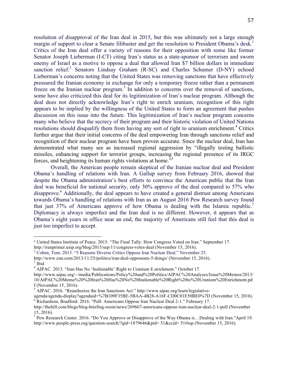resolution of disapproval of the Iran deal in 2015, but this was ultimately not a large enough margin of support to clear a Senate filibuster and get the resolution to President Obama's desk.<sup>1</sup> Critics of the Iran deal offer a variety of reasons for their opposition with some like former Senator Joseph Lieberman (I-CT) citing Iran's status as a state-sponsor of terrorism and sworn enemy of Israel as a motive to oppose a deal that allowed Iran \$7 billion dollars in immediate sanction relief.<sup>2</sup> Senators Lindsay Graham (R-SC) and Charles Schumer (D-NY) echoed Lieberman's concerns noting that the United States was removing sanctions that have effectively pressured the Iranian economy in exchange for only a temporary freeze rather than a permanent freeze on the Iranian nuclear program.<sup>3</sup> In addition to concerns over the removal of sanctions, some have also criticized this deal for its legitimization of Iran's nuclear program. Although the deal does not directly acknowledge Iran's right to enrich uranium, recognition of this right appears to be implied by the willingness of the United States to form an agreement that pushes discussion on this issue into the future. This legitimization of Iran's nuclear program concerns many who believe that the secrecy of their program and their historic violation of United Nations resolutions should disqualify them from having any sort of right to uranium enrichment.<sup>4</sup> Critics further argue that their initial concerns of the deal empowering Iran through sanctions relief and recognition of their nuclear program have been proven accurate. Since the nuclear deal, Iran has demonstrated what many see as increased regional aggression by "illegally testing ballistic missiles, enhancing support for terrorist groups, increasing the regional presence of its IRGC forces, and heightening its human rights violations at home."<sup>5</sup>

 Overall, the American people remain skeptical of the Iranian nuclear deal and President Obama's handling of relations with Iran. A Gallup survey from February 2016, showed that despite the Obama administration's best efforts to convince the American public that the Iran deal was beneficial for national security, only 30% approve of the deal compared to 57% who disapprove.<sup>6</sup> Additionally, the deal appears to have created a general distrust among Americans towards Obama's handling of relations with Iran as an August 2016 Pew Research survey found that just 37% of Americans approve of how Obama is dealing with the Islamic republic.<sup>7</sup> Diplomacy is always imperfect and the Iran deal is no different. However, it appears that as Obama's eight years in office near an end, the majority of Americans still feel that this deal is just too imperfect to accept.

http://www.cnn.com/2013/11/25/politics/iran-deal-opponents-5-things/ (November 15, 2016).

 <sup>1</sup> United States Institute of Peace. 2015. "The Final Tally: How Congress Voted on Iran." September 17. http://iranprimer.usip.org/blog/2015/sep/11/congress-votes-deal (November 15, 2016).

http://iranprimer.usip.org/blog/2015/sep/11/congress-votes-deal (November 15, 2016).<br><sup>2</sup> Cohen, Tom. 2013. "5 Reasons Diverse Critics Oppose Iran Nuclear Deal." November 25.

 $3$  Ibid

http://www.cnn.com/2013/11/25/politics/iran-deal-opponents-5-things/ (November 15, 2016).<br><sup>3</sup> Ibid<br><sup>4</sup> AIPAC. 2013. "Iran Has No 'Inalienable' Right to Uranium E.nrichment." October 17.

 f (November 15, 2016). http://www.aipac.org/~/media/Publications/Policy%20and%20Politics/AIPAC%20Analyses/Issue%20Memos/2013/ 10/AIPAC%20Memo%20%20Iran%20Has%20No%20Inalienable%20Right%20to%20Uranium%20Enrichment.pd

 $<sup>5</sup>$  AIPAC. 2016. "Reauthorize the Iran Sanctions Act." http://www.aipac.org/learn/legislative-</sup>

agenda/agenda-display?agendaid=%7B109F35BE-5BAA-4B28-A16F-CD0C01E50BE0%7D (November 15, 2016).<br><sup>6</sup> Richardson, Bradford. 2016. "Poll: Americans Oppose Iran Nuclear Deal 2-1." February 17. <sup>6</sup> Richardson, Bradford. 2016. "Poll: Americans Oppose Iran Nuclear Deal 2-1." February 17.

 http://thehill.com/blogs/blog-briefing-room/news/269667-americans-oppose-iran-nuclear-deal-2-1-poll (November 15, 2016).

<sup>&</sup>lt;sup>7</sup> Pew Research Center. 2016. "Do You Approve or Disapprove of the Way Obama is...Dealing with Iran."April 19. http://www.people-press.org/question-search/?qid=1879646&pid= 51&ccid= 51#top (November 15, 2016).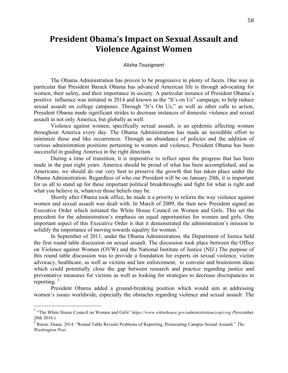# **President Obama's Impact on Sexual Assault and Violence Against Women**

#### *Alisha Tousignant*

 The Obama Administration has proven to be progressive in plenty of facets. One way in particular that President Barack Obama has advanced American life is through advocating for women, their safety, and their importance in society. A particular instance of President Obama's positive influence was initiated in 2014 and known as the "It's on Us" campaign, to help reduce sexual assault on college campuses. Through "It's On Us," as well as other calls to action, President Obama made significant strides to decrease instances of domestic violence and sexual assault in not only America, but globally as well.

 Violence against women, specifically sexual assault, is an epidemic affecting women throughout America every day. The Obama Administration has made an incredible effort to minimize these and like occurrences. Through an abundance of policies and the addition of various administration positions pertaining to women and violence, President Obama has been successful in guiding America in the right direction.

 During a time of transition, it is imperative to reflect upon the progress that has been made in the past eight years. America should be proud of what has been accomplished, and as Americans, we should do our very best to preserve the growth that has taken place under the Obama Administration. Regardless of who our President will be on January 20th, it is important for us all to stand up for these important political breakthroughs and fight for what is right and what you believe in, whatever those beliefs may be.

 Shortly after Obama took office, he made it a priority to reform the way violence against women and sexual assault was dealt with. In March of 2009, the then new President signed an Executive Order which initiated the White House Council on Women and Girls. This set the precedent for the administration's emphasis on equal opportunities for women and girls. One important aspect of this Executive Order is that it demonstrated the administration's mission to solidify the importance of moving towards equality for women.<sup>1</sup>

 In September of 2011, under the Obama Administration, the Department of Justice held the first round table discussion on sexual assault. The discussion took place between the Office on Violence against Women (OVW) and the National Institute of Justice (NIJ.) The purpose of this round table discussion was to provide a foundation for experts on sexual violence, victim advocacy, healthcare, as well as victims and law enforcement, to convene and brainstorm ideas which could potentially close the gap between research and practice regarding justice and preventative measures for victims as well as looking for strategies to decrease discrepancies in reporting.  $2^2$ 

 President Obama added a ground-breaking position which would aim at addressing women's issues worldwide, especially the obstacles regarding violence and sexual assault. The

 1 "The White House Council on Women and Girls" *https://www.whitehouse.gov/administration/eop/cwg (*November 20th 2016.)

 2 Reese, Diana. 2014. "Round Table Reveals Problems of Reporting, Prosecuting Campus Sexual Assault." *The Washington Post*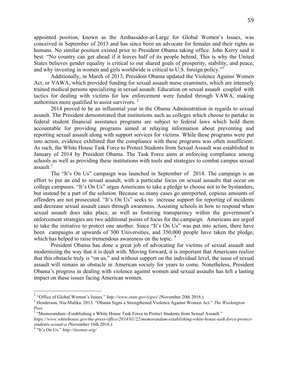appointed position, known as the Ambassador-at-Large for Global Women's Issues, was conceived in September of 2013 and has since been an advocate for females and their rights as humans. No similar position existed prior to President Obama taking office. John Kerry said it best: "No country can get ahead if it leaves half of its people behind. This is why the United States believes gender equality is critical to our shared goals of prosperity, stability, and peace, and why investing in women and girls worldwide is critical to U.S. foreign policy."

 Additionally, in March of 2013, President Obama updated the Violence Against Women Act, or VAWA, which provided funding for sexual assault nurse examiners, which are intensely trained medical persons specializing in sexual assault. Education on sexual assault coupled with tactics for dealing with victims for law enforcement were funded through VAWA, making authorities more qualified to assist survivors. 2

 2014 proved to be an influential year in the Obama Administration in regards to sexual assault. The President demonstrated that institutions such as colleges which choose to partake in federal student financial assistance programs are subject to federal laws which hold them accountable for providing programs aimed at relaying information about preventing and reporting sexual assault along with support services for victims. While these programs were put into action, evidence exhibited that the compliance with these programs was often insufficient. As such, the White House Task Force to Protect Students from Sexual Assault was established in January of 2014 by President Obama. The Task Force aims at enforcing compliance among schools as well as providing these institutions with tools and strategies to combat campus sexual assault. $3$ 

 effort to put an end to sexual assault, with a particular focus on sexual assaults that occur on college campuses. "It's On Us" urges Americans to take a pledge to choose not to be bystanders, but instead be a part of the solution. Because so many cases go unreported, copious amounts of offenders are not prosecuted. "It's On Us" seeks to increase support for reporting of incidents and decrease sexual assault cases through awareness. Assisting schools in how to respond when sexual assault does take place, as well as fostering transparency within the government's enforcement strategies are two additional points of focus for the campaign. Americans are urged to take the initiative to protect one another. Since "It's On Us" was put into action, there have been campaigns at upwards of 300 Universities, and 350,000 people have taken the pledge, The "It's On Us" campaign was launched in September of 2014. The campaign is an which has helped to raise tremendous awareness on the topic.<sup>4</sup>

 President Obama has done a great job of advocating for victims of sexual assault and modernizing the way that it is dealt with. Moving forward, it is important that Americans realize that this obstacle truly is "on us," and without support on the individual level, the issue of sexual assault will remain an obstacle in American society for years to come. Nonetheless, President Obama's progress in dealing with violence against women and sexual assaults has left a lasting impact on these issues facing American women.

<sup>&</sup>lt;sup>1</sup> "Office of Global Women's Issues." http://www.state.gov/s/gwi/ (November 20th 2016.)

<sup>&</sup>lt;sup>1</sup> "Office of Global Women's Issues." *http://www.state.gov/s/gwi/ (*November 20th 2016.)<br><sup>2</sup> Henderson, Nia-Malika. 2013. "Obama Signs a Strengthened Violence Against Women Act." *The Washington Post.* 

<sup>&</sup>lt;sup>3</sup> "Memorandum--Establishing a White House Task Force to Protect Students from Sexual Assault."

students-sexual-a (November 16th 2016.) *students-sexual-a (*November 16th 2016.) 4 "It's On Us." *http://itsonus.org/https://www.whitehouse.gov/the-press-office/2014/01/22/memorandum-establishing-white-house-task-force-protect-*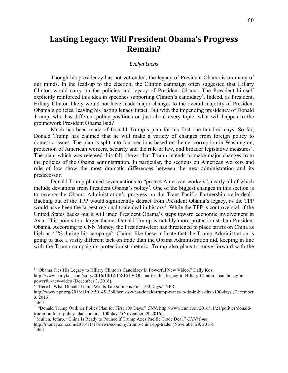# Lasting Legacy: Will President Obama's Progress **Remain?**

#### *Evelyn Luchs*

 Though his presidency has not yet ended, the legacy of President Obama is on many of Clinton would carry on the policies and legacy of President Obama. The President himself explicitly reinforced this idea in speeches supporting Clinton's candidacy<sup>1</sup>. Indeed, as President, Hillary Clinton likely would not have made major changes to the overall majority of President Obama's policies, leaving his lasting legacy intact. But with the impending presidency of Donald Trump, who has different policy positions on just about every topic, what will happen to the our minds. In the lead-up to the election, the Clinton campaign often suggested that Hillary groundwork President Obama laid?

 Much has been made of Donald Trump's plan for his first one hundred days. So far, Donald Trump has claimed that he will make a variety of changes from foreign policy to domestic issues. The plan is split into four sections based on theme: corruption in Washington, protection of American workers, security and the rule of law, and broader legislative measures<sup>2</sup>. The plan, which was released this fall, shows that Trump intends to make major changes from the policies of the Obama administration. In particular, the sections on American workers and rule of law show the most dramatic differences between the new administration and its predecessor.

 Donald Trump planned seven actions to "protect American workers", nearly all of which include deviations from President Obama's policy<sup>3</sup>. One of the biggest changes in this section is to reverse the Obama Administration's progress on the Trans-Pacific Partnership trade deal<sup>4</sup>. Backing out of the TPP would significantly detract from President Obama's legacy, as the TPP would have been the largest regional trade deal in history<sup>5</sup>. While the TPP is controversial, if the United States backs out it will undo President Obama's steps toward economic involvement in Asia. This points to a larger theme: Donald Trump is notably more protectionist than President Obama. According to CNN Money, the President-elect has threatened to place tariffs on China as high as 45% during his campaign<sup>6</sup>. Claims like these indicate that the Trump Administration is going to take a vastly different tack on trade than the Obama Administration did, keeping in line with the Trump campaign's protectionist rhetoric. Trump also plans to move forward with the

 $<sup>1</sup>$  "Obama Ties His Legacy to Hillary Clinton's Candidacy in Powerful New Video." Daily Kos.</sup> powerful-new-video (December 3, 2016).<br><sup>2</sup> "Here Is What Donald Trump Wants To Do In His First 100 Days." NPR. http://www.dailykos.com/story/2016/10/12/1581510/-Obama-ties-his-legacy-to-Hillary-Clinton-s-candidacy-in-

 http://www.npr.org/2016/11/09/501451368/here-is-what-donald-trump-wants-to-do-in-his-first-100-days (December 3, 2016).

 $3$  ibid

 4 "Donald Trump Outlines Policy Plan for First 100 Days." *CNN*. http://www.cnn.com/2016/11/21/politics/donaldtrump-outlines-policy-plan-for-first-100-days/ (November 29, 2016). trump-outlines-policy-plan-for-first-100-days/ (November 29, 2016). 5 Mullen, Jethro. "China Is Ready to Pounce If Trump Axes Pacific Trade Deal." *CNNMoney*.

 $6$  ibid http://money.cnn.com/2016/11/18/news/economy/trump-china-tpp-trade/ (November 29, 2016).